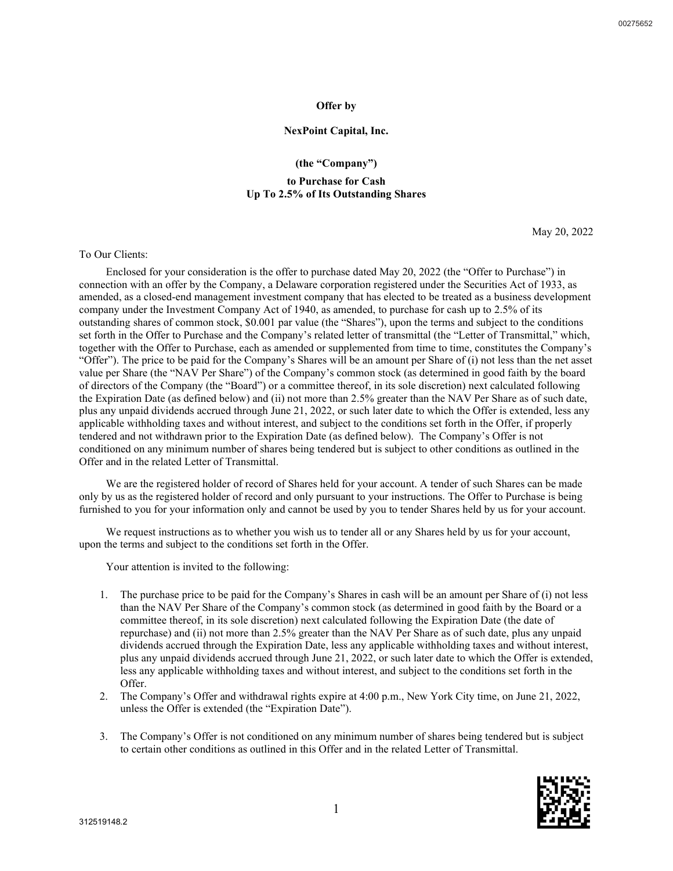#### **Offer by**

#### **NexPoint Capital, Inc.**

**(the "Company")**

#### **to Purchase for Cash Up To 2.5% of Its Outstanding Shares**

May 20, 2022

#### To Our Clients:

Enclosed for your consideration is the offer to purchase dated May 20, 2022 (the "Offer to Purchase") in connection with an offer by the Company, a Delaware corporation registered under the Securities Act of 1933, as amended, as a closed-end management investment company that has elected to be treated as a business development company under the Investment Company Act of 1940, as amended, to purchase for cash up to 2.5% of its outstanding shares of common stock, \$0.001 par value (the "Shares"), upon the terms and subject to the conditions set forth in the Offer to Purchase and the Company's related letter of transmittal (the "Letter of Transmittal," which, together with the Offer to Purchase, each as amended or supplemented from time to time, constitutes the Company's "Offer"). The price to be paid for the Company's Shares will be an amount per Share of (i) not less than the net asset value per Share (the "NAV Per Share") of the Company's common stock (as determined in good faith by the board of directors of the Company (the "Board") or a committee thereof, in its sole discretion) next calculated following the Expiration Date (as defined below) and (ii) not more than 2.5% greater than the NAV Per Share as of such date, plus any unpaid dividends accrued through June 21, 2022, or such later date to which the Offer is extended, less any applicable withholding taxes and without interest, and subject to the conditions set forth in the Offer, if properly tendered and not withdrawn prior to the Expiration Date (as defined below). The Company's Offer is not conditioned on any minimum number of shares being tendered but is subject to other conditions as outlined in the Offer and in the related Letter of Transmittal.

We are the registered holder of record of Shares held for your account. A tender of such Shares can be made only by us as the registered holder of record and only pursuant to your instructions. The Offer to Purchase is being furnished to you for your information only and cannot be used by you to tender Shares held by us for your account.

We request instructions as to whether you wish us to tender all or any Shares held by us for your account, upon the terms and subject to the conditions set forth in the Offer.

Your attention is invited to the following:

- 1. The purchase price to be paid for the Company's Shares in cash will be an amount per Share of (i) not less than the NAV Per Share of the Company's common stock (as determined in good faith by the Board or a committee thereof, in its sole discretion) next calculated following the Expiration Date (the date of repurchase) and (ii) not more than 2.5% greater than the NAV Per Share as of such date, plus any unpaid dividends accrued through the Expiration Date, less any applicable withholding taxes and without interest, plus any unpaid dividends accrued through June 21, 2022, or such later date to which the Offer is extended, less any applicable withholding taxes and without interest, and subject to the conditions set forth in the Offer.
- 2. The Company's Offer and withdrawal rights expire at 4:00 p.m., New York City time, on June 21, 2022, unless the Offer is extended (the "Expiration Date").
- 3. The Company's Offer is not conditioned on any minimum number of shares being tendered but is subject to certain other conditions as outlined in this Offer and in the related Letter of Transmittal.

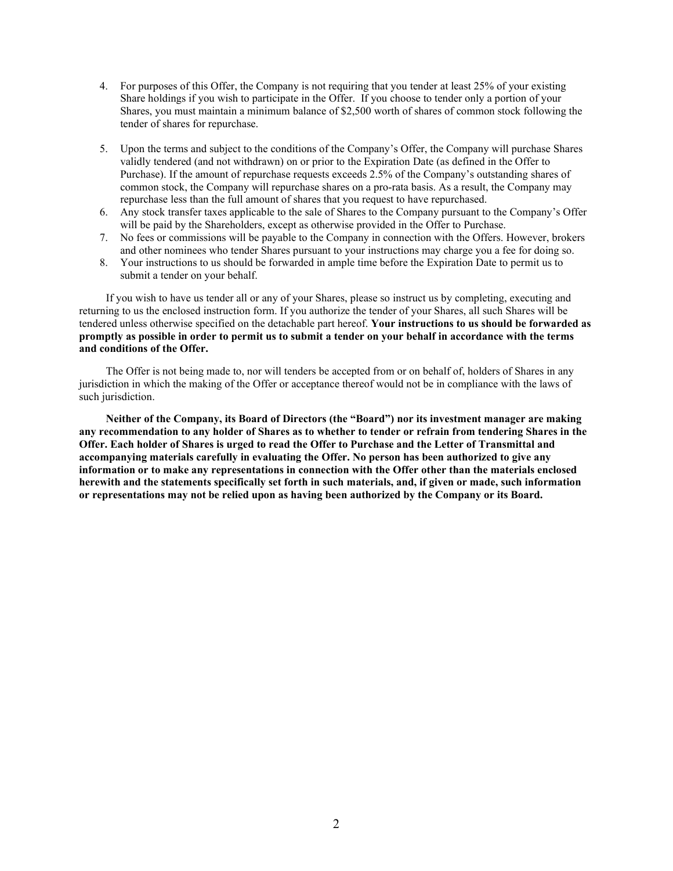- 4. For purposes of this Offer, the Company is not requiring that you tender at least 25% of your existing Share holdings if you wish to participate in the Offer. If you choose to tender only a portion of your Shares, you must maintain a minimum balance of \$2,500 worth of shares of common stock following the tender of shares for repurchase.
- 5. Upon the terms and subject to the conditions of the Company's Offer, the Company will purchase Shares validly tendered (and not withdrawn) on or prior to the Expiration Date (as defined in the Offer to Purchase). If the amount of repurchase requests exceeds 2.5% of the Company's outstanding shares of common stock, the Company will repurchase shares on a pro-rata basis. As a result, the Company may repurchase less than the full amount of shares that you request to have repurchased.
- 6. Any stock transfer taxes applicable to the sale of Shares to the Company pursuant to the Company's Offer will be paid by the Shareholders, except as otherwise provided in the Offer to Purchase.
- 7. No fees or commissions will be payable to the Company in connection with the Offers. However, brokers and other nominees who tender Shares pursuant to your instructions may charge you a fee for doing so.
- 8. Your instructions to us should be forwarded in ample time before the Expiration Date to permit us to submit a tender on your behalf.

If you wish to have us tender all or any of your Shares, please so instruct us by completing, executing and returning to us the enclosed instruction form. If you authorize the tender of your Shares, all such Shares will be tendered unless otherwise specified on the detachable part hereof. **Your instructions to us should be forwarded as promptly as possible in order to permit us to submit a tender on your behalf in accordance with the terms and conditions of the Offer.**

The Offer is not being made to, nor will tenders be accepted from or on behalf of, holders of Shares in any jurisdiction in which the making of the Offer or acceptance thereof would not be in compliance with the laws of such jurisdiction.

**Neither of the Company, its Board of Directors (the "Board") nor its investment manager are making any recommendation to any holder of Shares as to whether to tender or refrain from tendering Shares in the Offer. Each holder of Shares is urged to read the Offer to Purchase and the Letter of Transmittal and accompanying materials carefully in evaluating the Offer. No person has been authorized to give any information or to make any representations in connection with the Offer other than the materials enclosed herewith and the statements specifically set forth in such materials, and, if given or made, such information or representations may not be relied upon as having been authorized by the Company or its Board.**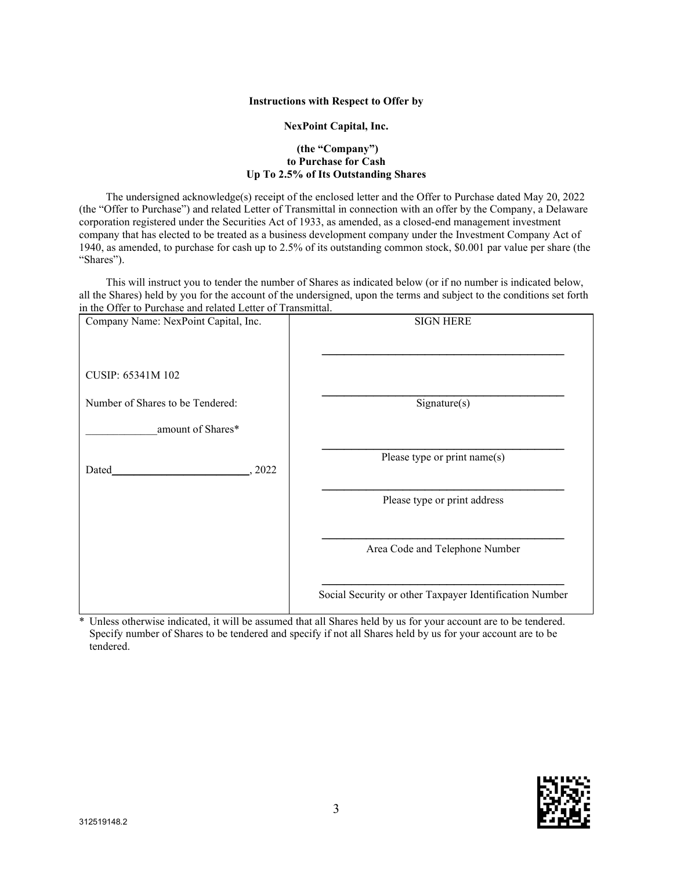#### **Instructions with Respect to Offer by**

#### **NexPoint Capital, Inc.**

#### **(the "Company") to Purchase for Cash Up To 2.5% of Its Outstanding Shares**

The undersigned acknowledge(s) receipt of the enclosed letter and the Offer to Purchase dated May 20, 2022 (the "Offer to Purchase") and related Letter of Transmittal in connection with an offer by the Company, a Delaware corporation registered under the Securities Act of 1933, as amended, as a closed-end management investment company that has elected to be treated as a business development company under the Investment Company Act of 1940, as amended, to purchase for cash up to 2.5% of its outstanding common stock, \$0.001 par value per share (the "Shares").

This will instruct you to tender the number of Shares as indicated below (or if no number is indicated below, all the Shares) held by you for the account of the undersigned, upon the terms and subject to the conditions set forth in the Offer to Purchase and related Letter of Transmittal.

| Company Name: NexPoint Capital, Inc. | <b>SIGN HERE</b>                                        |
|--------------------------------------|---------------------------------------------------------|
|                                      |                                                         |
| <b>CUSIP: 65341M 102</b>             |                                                         |
| Number of Shares to be Tendered:     | Signature(s)                                            |
| amount of Shares*                    |                                                         |
| Dated<br>.2022                       | Please type or print name(s)                            |
|                                      | Please type or print address                            |
|                                      | Area Code and Telephone Number                          |
|                                      | Social Security or other Taxpayer Identification Number |

\* Unless otherwise indicated, it will be assumed that all Shares held by us for your account are to be tendered. Specify number of Shares to be tendered and specify if not all Shares held by us for your account are to be tendered.

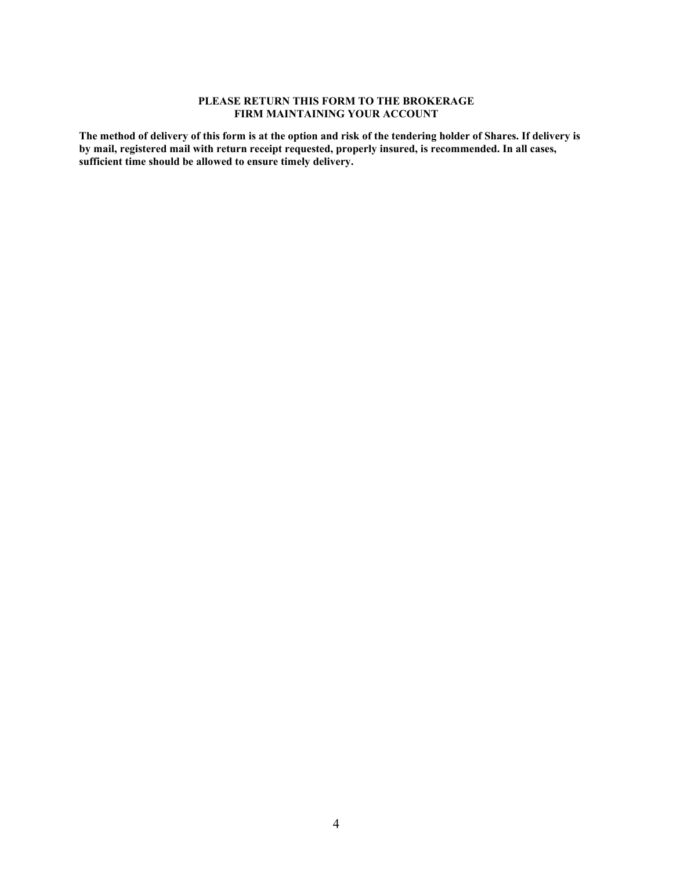#### **PLEASE RETURN THIS FORM TO THE BROKERAGE FIRM MAINTAINING YOUR ACCOUNT**

**The method of delivery of this form is at the option and risk of the tendering holder of Shares. If delivery is by mail, registered mail with return receipt requested, properly insured, is recommended. In all cases, sufficient time should be allowed to ensure timely delivery.**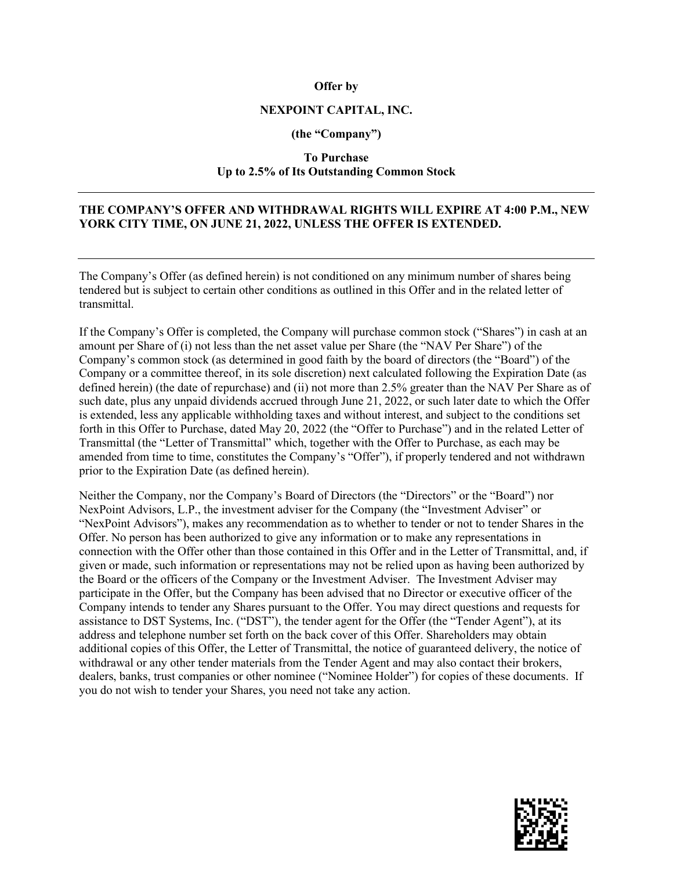#### **Offer by**

# **NEXPOINT CAPITAL, INC.**

#### **(the "Company")**

### **To Purchase Up to 2.5% of Its Outstanding Common Stock**

#### **THE COMPANY'S OFFER AND WITHDRAWAL RIGHTS WILL EXPIRE AT 4:00 P.M., NEW YORK CITY TIME, ON JUNE 21, 2022, UNLESS THE OFFER IS EXTENDED.**

The Company's Offer (as defined herein) is not conditioned on any minimum number of shares being tendered but is subject to certain other conditions as outlined in this Offer and in the related letter of transmittal.

If the Company's Offer is completed, the Company will purchase common stock ("Shares") in cash at an amount per Share of (i) not less than the net asset value per Share (the "NAV Per Share") of the Company's common stock (as determined in good faith by the board of directors (the "Board") of the Company or a committee thereof, in its sole discretion) next calculated following the Expiration Date (as defined herein) (the date of repurchase) and (ii) not more than 2.5% greater than the NAV Per Share as of such date, plus any unpaid dividends accrued through June 21, 2022, or such later date to which the Offer is extended, less any applicable withholding taxes and without interest, and subject to the conditions set forth in this Offer to Purchase, dated May 20, 2022 (the "Offer to Purchase") and in the related Letter of Transmittal (the "Letter of Transmittal" which, together with the Offer to Purchase, as each may be amended from time to time, constitutes the Company's "Offer"), if properly tendered and not withdrawn prior to the Expiration Date (as defined herein).

Neither the Company, nor the Company's Board of Directors (the "Directors" or the "Board") nor NexPoint Advisors, L.P., the investment adviser for the Company (the "Investment Adviser" or "NexPoint Advisors"), makes any recommendation as to whether to tender or not to tender Shares in the Offer. No person has been authorized to give any information or to make any representations in connection with the Offer other than those contained in this Offer and in the Letter of Transmittal, and, if given or made, such information or representations may not be relied upon as having been authorized by the Board or the officers of the Company or the Investment Adviser. The Investment Adviser may participate in the Offer, but the Company has been advised that no Director or executive officer of the Company intends to tender any Shares pursuant to the Offer. You may direct questions and requests for assistance to DST Systems, Inc. ("DST"), the tender agent for the Offer (the "Tender Agent"), at its address and telephone number set forth on the back cover of this Offer. Shareholders may obtain additional copies of this Offer, the Letter of Transmittal, the notice of guaranteed delivery, the notice of withdrawal or any other tender materials from the Tender Agent and may also contact their brokers, dealers, banks, trust companies or other nominee ("Nominee Holder") for copies of these documents. If you do not wish to tender your Shares, you need not take any action.

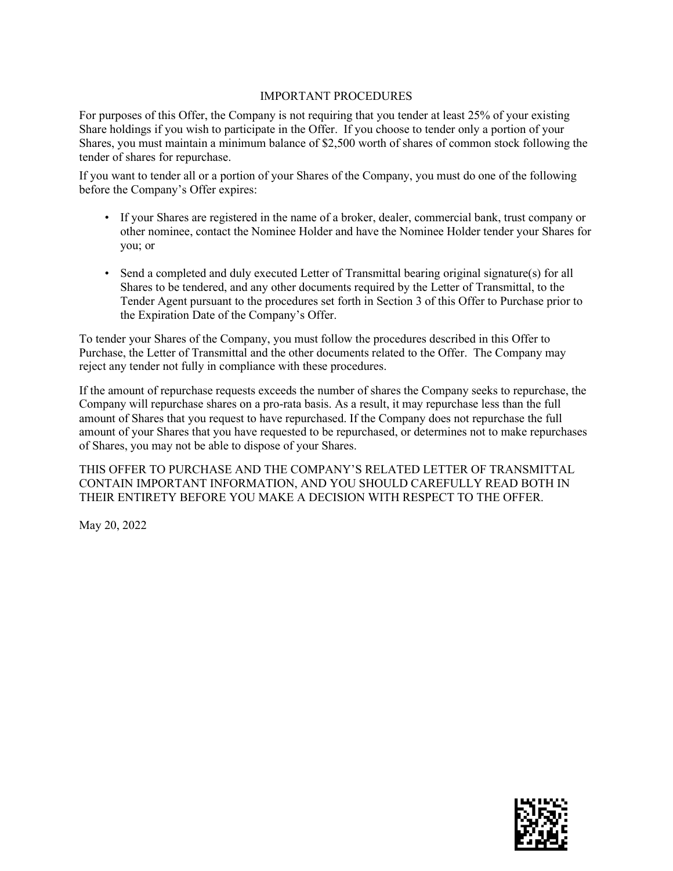### IMPORTANT PROCEDURES

For purposes of this Offer, the Company is not requiring that you tender at least 25% of your existing Share holdings if you wish to participate in the Offer. If you choose to tender only a portion of your Shares, you must maintain a minimum balance of \$2,500 worth of shares of common stock following the tender of shares for repurchase.

If you want to tender all or a portion of your Shares of the Company, you must do one of the following before the Company's Offer expires:

- If your Shares are registered in the name of a broker, dealer, commercial bank, trust company or other nominee, contact the Nominee Holder and have the Nominee Holder tender your Shares for you; or
- Send a completed and duly executed Letter of Transmittal bearing original signature(s) for all Shares to be tendered, and any other documents required by the Letter of Transmittal, to the Tender Agent pursuant to the procedures set forth in Section 3 of this Offer to Purchase prior to the Expiration Date of the Company's Offer.

To tender your Shares of the Company, you must follow the procedures described in this Offer to Purchase, the Letter of Transmittal and the other documents related to the Offer. The Company may reject any tender not fully in compliance with these procedures.

If the amount of repurchase requests exceeds the number of shares the Company seeks to repurchase, the Company will repurchase shares on a pro-rata basis. As a result, it may repurchase less than the full amount of Shares that you request to have repurchased. If the Company does not repurchase the full amount of your Shares that you have requested to be repurchased, or determines not to make repurchases of Shares, you may not be able to dispose of your Shares.

THIS OFFER TO PURCHASE AND THE COMPANY'S RELATED LETTER OF TRANSMITTAL CONTAIN IMPORTANT INFORMATION, AND YOU SHOULD CAREFULLY READ BOTH IN THEIR ENTIRETY BEFORE YOU MAKE A DECISION WITH RESPECT TO THE OFFER.

May 20, 2022

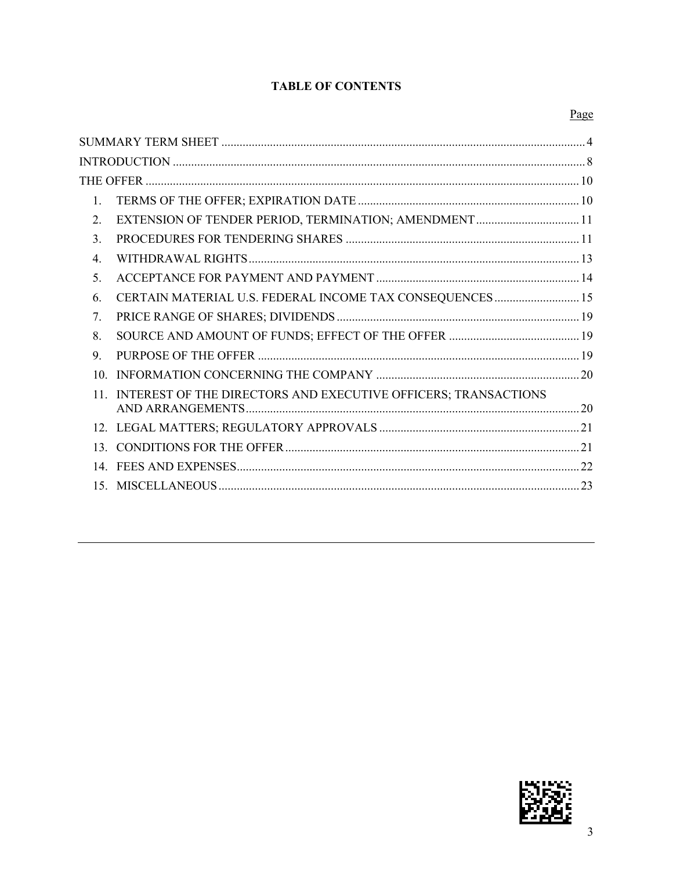# **TABLE OF CONTENTS**

| EXTENSION OF TENDER PERIOD, TERMINATION; AMENDMENT 11     |                                                                    |
|-----------------------------------------------------------|--------------------------------------------------------------------|
|                                                           |                                                                    |
|                                                           |                                                                    |
|                                                           |                                                                    |
| CERTAIN MATERIAL U.S. FEDERAL INCOME TAX CONSEQUENCES  15 |                                                                    |
|                                                           |                                                                    |
|                                                           |                                                                    |
|                                                           |                                                                    |
|                                                           |                                                                    |
|                                                           |                                                                    |
|                                                           |                                                                    |
|                                                           |                                                                    |
|                                                           |                                                                    |
|                                                           |                                                                    |
|                                                           | 11. INTEREST OF THE DIRECTORS AND EXECUTIVE OFFICERS; TRANSACTIONS |

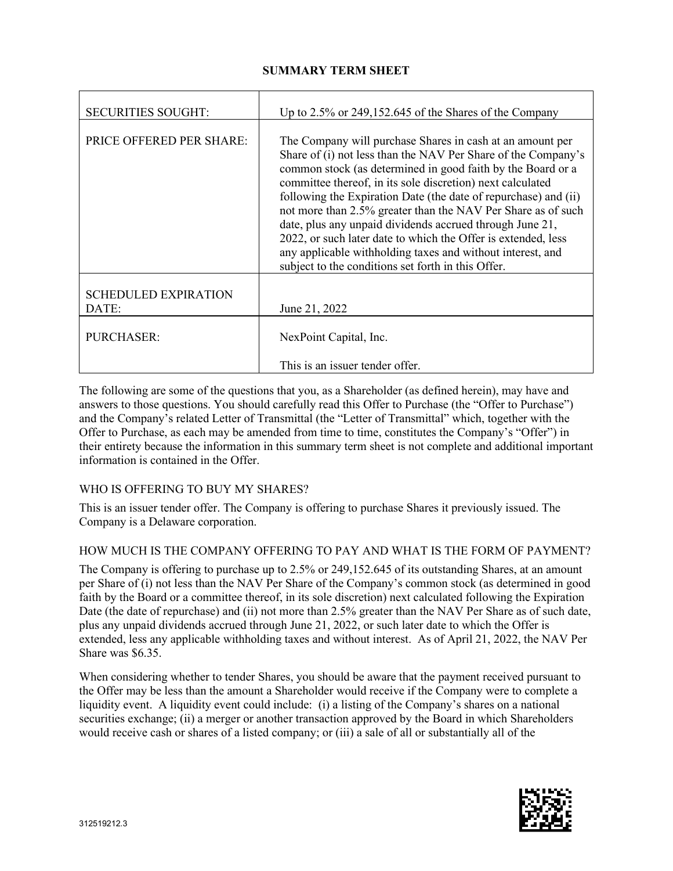# **SUMMARY TERM SHEET**

<span id="page-7-0"></span>

| <b>SECURITIES SOUGHT:</b>            | Up to 2.5% or 249,152.645 of the Shares of the Company                                                                                                                                                                                                                                                                                                                                                                                                                                                                                                                                                                                      |
|--------------------------------------|---------------------------------------------------------------------------------------------------------------------------------------------------------------------------------------------------------------------------------------------------------------------------------------------------------------------------------------------------------------------------------------------------------------------------------------------------------------------------------------------------------------------------------------------------------------------------------------------------------------------------------------------|
| PRICE OFFERED PER SHARE:             | The Company will purchase Shares in cash at an amount per<br>Share of (i) not less than the NAV Per Share of the Company's<br>common stock (as determined in good faith by the Board or a<br>committee thereof, in its sole discretion) next calculated<br>following the Expiration Date (the date of repurchase) and (ii)<br>not more than 2.5% greater than the NAV Per Share as of such<br>date, plus any unpaid dividends accrued through June 21,<br>2022, or such later date to which the Offer is extended, less<br>any applicable withholding taxes and without interest, and<br>subject to the conditions set forth in this Offer. |
| <b>SCHEDULED EXPIRATION</b><br>DATE: | June 21, 2022                                                                                                                                                                                                                                                                                                                                                                                                                                                                                                                                                                                                                               |
| <b>PURCHASER:</b>                    | NexPoint Capital, Inc.                                                                                                                                                                                                                                                                                                                                                                                                                                                                                                                                                                                                                      |
|                                      | This is an issuer tender offer.                                                                                                                                                                                                                                                                                                                                                                                                                                                                                                                                                                                                             |

The following are some of the questions that you, as a Shareholder (as defined herein), may have and answers to those questions. You should carefully read this Offer to Purchase (the "Offer to Purchase") and the Company's related Letter of Transmittal (the "Letter of Transmittal" which, together with the Offer to Purchase, as each may be amended from time to time, constitutes the Company's "Offer") in their entirety because the information in this summary term sheet is not complete and additional important information is contained in the Offer.

# WHO IS OFFERING TO BUY MY SHARES?

This is an issuer tender offer. The Company is offering to purchase Shares it previously issued. The Company is a Delaware corporation.

# HOW MUCH IS THE COMPANY OFFERING TO PAY AND WHAT IS THE FORM OF PAYMENT?

The Company is offering to purchase up to 2.5% or 249,152.645 of its outstanding Shares, at an amount per Share of (i) not less than the NAV Per Share of the Company's common stock (as determined in good faith by the Board or a committee thereof, in its sole discretion) next calculated following the Expiration Date (the date of repurchase) and (ii) not more than 2.5% greater than the NAV Per Share as of such date, plus any unpaid dividends accrued through June 21, 2022, or such later date to which the Offer is extended, less any applicable withholding taxes and without interest. As of April 21, 2022, the NAV Per Share was \$6.35.

When considering whether to tender Shares, you should be aware that the payment received pursuant to the Offer may be less than the amount a Shareholder would receive if the Company were to complete a liquidity event. A liquidity event could include: (i) a listing of the Company's shares on a national securities exchange; (ii) a merger or another transaction approved by the Board in which Shareholders would receive cash or shares of a listed company; or (iii) a sale of all or substantially all of the

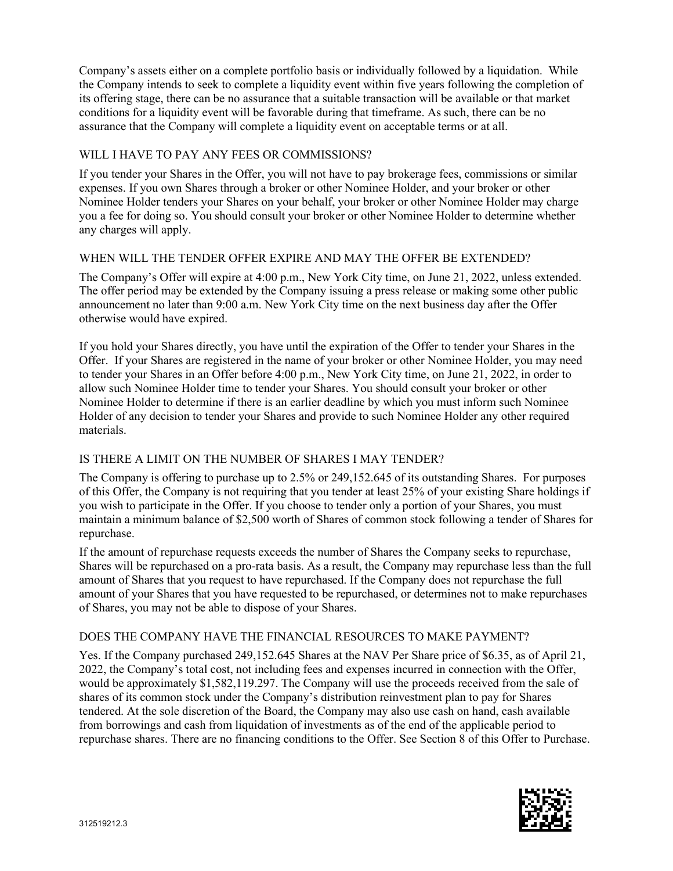Company's assets either on a complete portfolio basis or individually followed by a liquidation. While the Company intends to seek to complete a liquidity event within five years following the completion of its offering stage, there can be no assurance that a suitable transaction will be available or that market conditions for a liquidity event will be favorable during that timeframe. As such, there can be no assurance that the Company will complete a liquidity event on acceptable terms or at all.

# WILL I HAVE TO PAY ANY FEES OR COMMISSIONS?

If you tender your Shares in the Offer, you will not have to pay brokerage fees, commissions or similar expenses. If you own Shares through a broker or other Nominee Holder, and your broker or other Nominee Holder tenders your Shares on your behalf, your broker or other Nominee Holder may charge you a fee for doing so. You should consult your broker or other Nominee Holder to determine whether any charges will apply.

### WHEN WILL THE TENDER OFFER EXPIRE AND MAY THE OFFER BE EXTENDED?

The Company's Offer will expire at 4:00 p.m., New York City time, on June 21, 2022, unless extended. The offer period may be extended by the Company issuing a press release or making some other public announcement no later than 9:00 a.m. New York City time on the next business day after the Offer otherwise would have expired.

If you hold your Shares directly, you have until the expiration of the Offer to tender your Shares in the Offer. If your Shares are registered in the name of your broker or other Nominee Holder, you may need to tender your Shares in an Offer before 4:00 p.m., New York City time, on June 21, 2022, in order to allow such Nominee Holder time to tender your Shares. You should consult your broker or other Nominee Holder to determine if there is an earlier deadline by which you must inform such Nominee Holder of any decision to tender your Shares and provide to such Nominee Holder any other required materials.

### IS THERE A LIMIT ON THE NUMBER OF SHARES I MAY TENDER?

The Company is offering to purchase up to 2.5% or 249,152.645 of its outstanding Shares. For purposes of this Offer, the Company is not requiring that you tender at least 25% of your existing Share holdings if you wish to participate in the Offer. If you choose to tender only a portion of your Shares, you must maintain a minimum balance of \$2,500 worth of Shares of common stock following a tender of Shares for repurchase.

If the amount of repurchase requests exceeds the number of Shares the Company seeks to repurchase, Shares will be repurchased on a pro-rata basis. As a result, the Company may repurchase less than the full amount of Shares that you request to have repurchased. If the Company does not repurchase the full amount of your Shares that you have requested to be repurchased, or determines not to make repurchases of Shares, you may not be able to dispose of your Shares.

### DOES THE COMPANY HAVE THE FINANCIAL RESOURCES TO MAKE PAYMENT?

Yes. If the Company purchased 249,152.645 Shares at the NAV Per Share price of \$6.35, as of April 21, 2022, the Company's total cost, not including fees and expenses incurred in connection with the Offer, would be approximately \$1,582,119.297. The Company will use the proceeds received from the sale of shares of its common stock under the Company's distribution reinvestment plan to pay for Shares tendered. At the sole discretion of the Board, the Company may also use cash on hand, cash available from borrowings and cash from liquidation of investments as of the end of the applicable period to repurchase shares. There are no financing conditions to the Offer. See Section 8 of this Offer to Purchase.

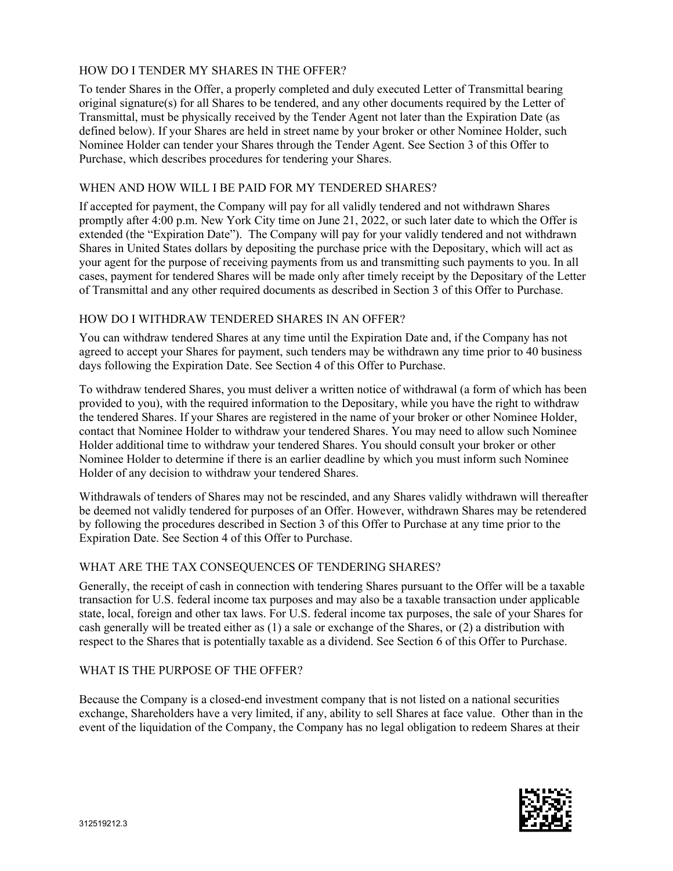### HOW DO I TENDER MY SHARES IN THE OFFER?

To tender Shares in the Offer, a properly completed and duly executed Letter of Transmittal bearing original signature(s) for all Shares to be tendered, and any other documents required by the Letter of Transmittal, must be physically received by the Tender Agent not later than the Expiration Date (as defined below). If your Shares are held in street name by your broker or other Nominee Holder, such Nominee Holder can tender your Shares through the Tender Agent. See Section 3 of this Offer to Purchase, which describes procedures for tendering your Shares.

### WHEN AND HOW WILL I BE PAID FOR MY TENDERED SHARES?

If accepted for payment, the Company will pay for all validly tendered and not withdrawn Shares promptly after 4:00 p.m. New York City time on June 21, 2022, or such later date to which the Offer is extended (the "Expiration Date"). The Company will pay for your validly tendered and not withdrawn Shares in United States dollars by depositing the purchase price with the Depositary, which will act as your agent for the purpose of receiving payments from us and transmitting such payments to you. In all cases, payment for tendered Shares will be made only after timely receipt by the Depositary of the Letter of Transmittal and any other required documents as described in Section 3 of this Offer to Purchase.

### HOW DO I WITHDRAW TENDERED SHARES IN AN OFFER?

You can withdraw tendered Shares at any time until the Expiration Date and, if the Company has not agreed to accept your Shares for payment, such tenders may be withdrawn any time prior to 40 business days following the Expiration Date. See Section 4 of this Offer to Purchase.

To withdraw tendered Shares, you must deliver a written notice of withdrawal (a form of which has been provided to you), with the required information to the Depositary, while you have the right to withdraw the tendered Shares. If your Shares are registered in the name of your broker or other Nominee Holder, contact that Nominee Holder to withdraw your tendered Shares. You may need to allow such Nominee Holder additional time to withdraw your tendered Shares. You should consult your broker or other Nominee Holder to determine if there is an earlier deadline by which you must inform such Nominee Holder of any decision to withdraw your tendered Shares.

Withdrawals of tenders of Shares may not be rescinded, and any Shares validly withdrawn will thereafter be deemed not validly tendered for purposes of an Offer. However, withdrawn Shares may be retendered by following the procedures described in Section 3 of this Offer to Purchase at any time prior to the Expiration Date. See Section 4 of this Offer to Purchase.

### WHAT ARE THE TAX CONSEQUENCES OF TENDERING SHARES?

Generally, the receipt of cash in connection with tendering Shares pursuant to the Offer will be a taxable transaction for U.S. federal income tax purposes and may also be a taxable transaction under applicable state, local, foreign and other tax laws. For U.S. federal income tax purposes, the sale of your Shares for cash generally will be treated either as (1) a sale or exchange of the Shares, or (2) a distribution with respect to the Shares that is potentially taxable as a dividend. See Section 6 of this Offer to Purchase.

### WHAT IS THE PURPOSE OF THE OFFER?

Because the Company is a closed-end investment company that is not listed on a national securities exchange, Shareholders have a very limited, if any, ability to sell Shares at face value. Other than in the event of the liquidation of the Company, the Company has no legal obligation to redeem Shares at their

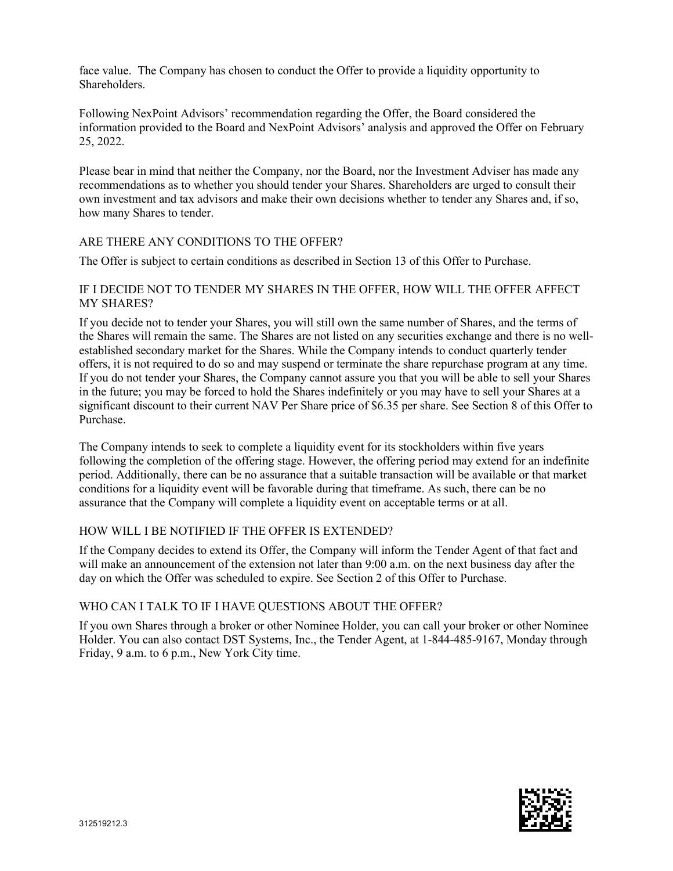face value. The Company has chosen to conduct the Offer to provide a liquidity opportunity to Shareholders.

Following NexPoint Advisors' recommendation regarding the Offer, the Board considered the information provided to the Board and NexPoint Advisors' analysis and approved the Offer on February 25, 2022.

Please bear in mind that neither the Company, nor the Board, nor the Investment Adviser has made any recommendations as to whether you should tender your Shares. Shareholders are urged to consult their own investment and tax advisors and make their own decisions whether to tender any Shares and, if so, how many Shares to tender.

### ARE THERE ANY CONDITIONS TO THE OFFER?

The Offer is subject to certain conditions as described in Section 13 of this Offer to Purchase.

### IF I DECIDE NOT TO TENDER MY SHARES IN THE OFFER, HOW WILL THE OFFER AFFECT MY SHARES?

If you decide not to tender your Shares, you will still own the same number of Shares, and the terms of the Shares will remain the same. The Shares are not listed on any securities exchange and there is no wellestablished secondary market for the Shares. While the Company intends to conduct quarterly tender offers, it is not required to do so and may suspend or terminate the share repurchase program at any time. If you do not tender your Shares, the Company cannot assure you that you will be able to sell your Shares in the future; you may be forced to hold the Shares indefinitely or you may have to sell your Shares at a significant discount to their current NAV Per Share price of \$6.35 per share. See Section 8 of this Offer to Purchase.

The Company intends to seek to complete a liquidity event for its stockholders within five years following the completion of the offering stage. However, the offering period may extend for an indefinite period. Additionally, there can be no assurance that a suitable transaction will be available or that market conditions for a liquidity event will be favorable during that timeframe. As such, there can be no assurance that the Company will complete a liquidity event on acceptable terms or at all.

### HOW WILL I BE NOTIFIED IF THE OFFER IS EXTENDED?

If the Company decides to extend its Offer, the Company will inform the Tender Agent of that fact and will make an announcement of the extension not later than 9:00 a.m. on the next business day after the day on which the Offer was scheduled to expire. See Section 2 of this Offer to Purchase.

### WHO CAN I TALK TO IF I HAVE QUESTIONS ABOUT THE OFFER?

If you own Shares through a broker or other Nominee Holder, you can call your broker or other Nominee Holder. You can also contact DST Systems, Inc., the Tender Agent, at 1-844-485-9167, Monday through Friday, 9 a.m. to 6 p.m., New York City time.

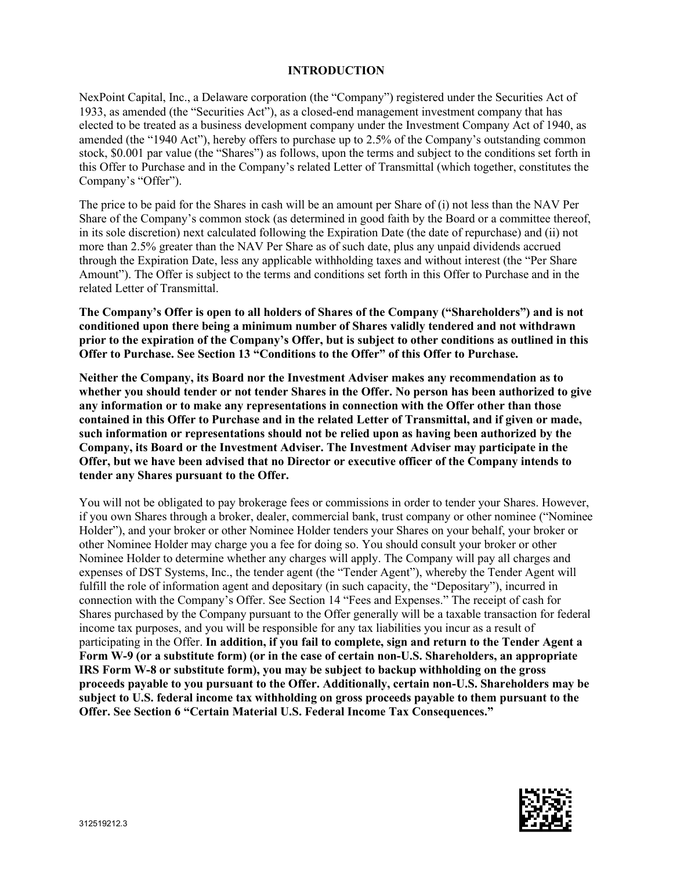#### **INTRODUCTION**

<span id="page-11-0"></span>NexPoint Capital, Inc., a Delaware corporation (the "Company") registered under the Securities Act of 1933, as amended (the "Securities Act"), as a closed-end management investment company that has elected to be treated as a business development company under the Investment Company Act of 1940, as amended (the "1940 Act"), hereby offers to purchase up to 2.5% of the Company's outstanding common stock, \$0.001 par value (the "Shares") as follows, upon the terms and subject to the conditions set forth in this Offer to Purchase and in the Company's related Letter of Transmittal (which together, constitutes the Company's "Offer").

The price to be paid for the Shares in cash will be an amount per Share of (i) not less than the NAV Per Share of the Company's common stock (as determined in good faith by the Board or a committee thereof, in its sole discretion) next calculated following the Expiration Date (the date of repurchase) and (ii) not more than 2.5% greater than the NAV Per Share as of such date, plus any unpaid dividends accrued through the Expiration Date, less any applicable withholding taxes and without interest (the "Per Share Amount"). The Offer is subject to the terms and conditions set forth in this Offer to Purchase and in the related Letter of Transmittal.

**The Company's Offer is open to all holders of Shares of the Company ("Shareholders") and is not conditioned upon there being a minimum number of Shares validly tendered and not withdrawn prior to the expiration of the Company's Offer, but is subject to other conditions as outlined in this Offer to Purchase. See Section 13 "Conditions to the Offer" of this Offer to Purchase.** 

**Neither the Company, its Board nor the Investment Adviser makes any recommendation as to whether you should tender or not tender Shares in the Offer. No person has been authorized to give any information or to make any representations in connection with the Offer other than those contained in this Offer to Purchase and in the related Letter of Transmittal, and if given or made, such information or representations should not be relied upon as having been authorized by the Company, its Board or the Investment Adviser. The Investment Adviser may participate in the Offer, but we have been advised that no Director or executive officer of the Company intends to tender any Shares pursuant to the Offer.**

You will not be obligated to pay brokerage fees or commissions in order to tender your Shares. However, if you own Shares through a broker, dealer, commercial bank, trust company or other nominee ("Nominee Holder"), and your broker or other Nominee Holder tenders your Shares on your behalf, your broker or other Nominee Holder may charge you a fee for doing so. You should consult your broker or other Nominee Holder to determine whether any charges will apply. The Company will pay all charges and expenses of DST Systems, Inc., the tender agent (the "Tender Agent"), whereby the Tender Agent will fulfill the role of information agent and depositary (in such capacity, the "Depositary"), incurred in connection with the Company's Offer. See Section 14 "Fees and Expenses." The receipt of cash for Shares purchased by the Company pursuant to the Offer generally will be a taxable transaction for federal income tax purposes, and you will be responsible for any tax liabilities you incur as a result of participating in the Offer. **In addition, if you fail to complete, sign and return to the Tender Agent a Form W-9 (or a substitute form) (or in the case of certain non-U.S. Shareholders, an appropriate IRS Form W-8 or substitute form), you may be subject to backup withholding on the gross proceeds payable to you pursuant to the Offer. Additionally, certain non-U.S. Shareholders may be subject to U.S. federal income tax withholding on gross proceeds payable to them pursuant to the Offer. See Section 6 "Certain Material U.S. Federal Income Tax Consequences."**

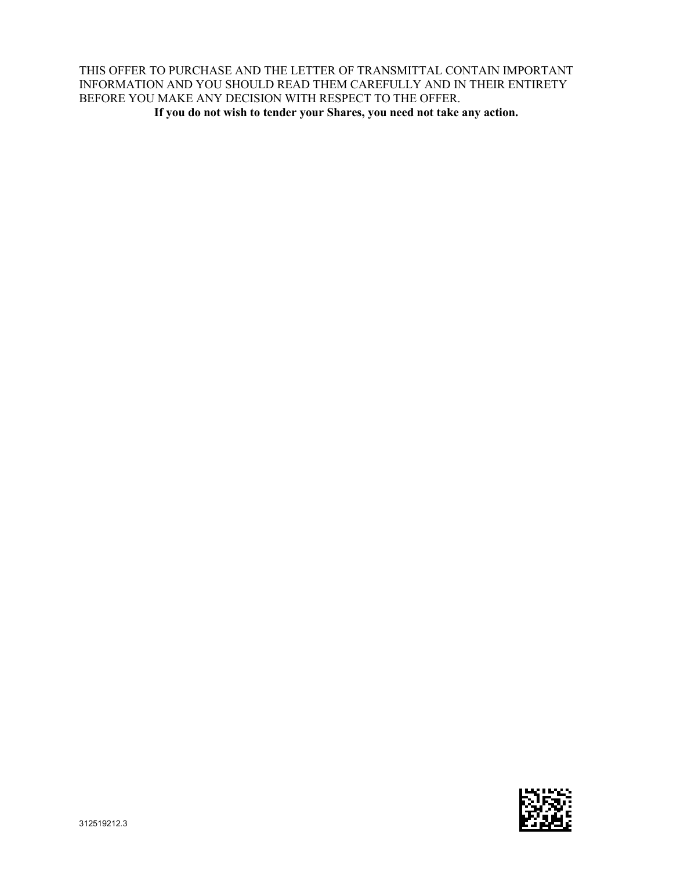THIS OFFER TO PURCHASE AND THE LETTER OF TRANSMITTAL CONTAIN IMPORTANT INFORMATION AND YOU SHOULD READ THEM CAREFULLY AND IN THEIR ENTIRETY BEFORE YOU MAKE ANY DECISION WITH RESPECT TO THE OFFER. **If you do not wish to tender your Shares, you need not take any action.**

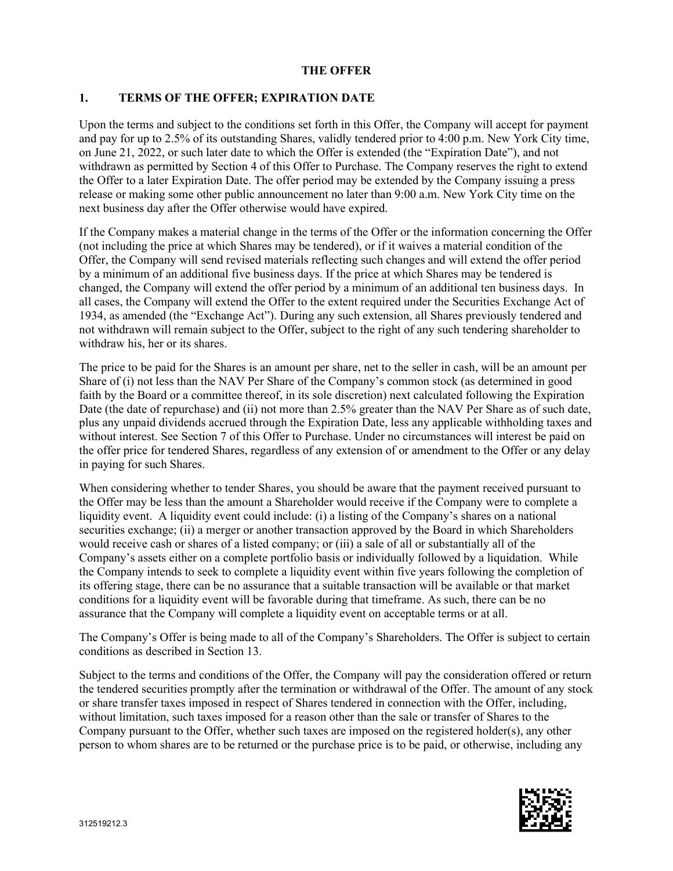#### **THE OFFER**

### <span id="page-13-1"></span><span id="page-13-0"></span>**1. TERMS OF THE OFFER; EXPIRATION DATE**

Upon the terms and subject to the conditions set forth in this Offer, the Company will accept for payment and pay for up to 2.5% of its outstanding Shares, validly tendered prior to 4:00 p.m. New York City time, on June 21, 2022, or such later date to which the Offer is extended (the "Expiration Date"), and not withdrawn as permitted by Section 4 of this Offer to Purchase. The Company reserves the right to extend the Offer to a later Expiration Date. The offer period may be extended by the Company issuing a press release or making some other public announcement no later than 9:00 a.m. New York City time on the next business day after the Offer otherwise would have expired.

If the Company makes a material change in the terms of the Offer or the information concerning the Offer (not including the price at which Shares may be tendered), or if it waives a material condition of the Offer, the Company will send revised materials reflecting such changes and will extend the offer period by a minimum of an additional five business days. If the price at which Shares may be tendered is changed, the Company will extend the offer period by a minimum of an additional ten business days. In all cases, the Company will extend the Offer to the extent required under the Securities Exchange Act of 1934, as amended (the "Exchange Act"). During any such extension, all Shares previously tendered and not withdrawn will remain subject to the Offer, subject to the right of any such tendering shareholder to withdraw his, her or its shares.

The price to be paid for the Shares is an amount per share, net to the seller in cash, will be an amount per Share of (i) not less than the NAV Per Share of the Company's common stock (as determined in good faith by the Board or a committee thereof, in its sole discretion) next calculated following the Expiration Date (the date of repurchase) and (ii) not more than 2.5% greater than the NAV Per Share as of such date, plus any unpaid dividends accrued through the Expiration Date, less any applicable withholding taxes and without interest. See Section 7 of this Offer to Purchase. Under no circumstances will interest be paid on the offer price for tendered Shares, regardless of any extension of or amendment to the Offer or any delay in paying for such Shares.

When considering whether to tender Shares, you should be aware that the payment received pursuant to the Offer may be less than the amount a Shareholder would receive if the Company were to complete a liquidity event. A liquidity event could include: (i) a listing of the Company's shares on a national securities exchange; (ii) a merger or another transaction approved by the Board in which Shareholders would receive cash or shares of a listed company; or (iii) a sale of all or substantially all of the Company's assets either on a complete portfolio basis or individually followed by a liquidation. While the Company intends to seek to complete a liquidity event within five years following the completion of its offering stage, there can be no assurance that a suitable transaction will be available or that market conditions for a liquidity event will be favorable during that timeframe. As such, there can be no assurance that the Company will complete a liquidity event on acceptable terms or at all.

The Company's Offer is being made to all of the Company's Shareholders. The Offer is subject to certain conditions as described in Section 13.

Subject to the terms and conditions of the Offer, the Company will pay the consideration offered or return the tendered securities promptly after the termination or withdrawal of the Offer. The amount of any stock or share transfer taxes imposed in respect of Shares tendered in connection with the Offer, including, without limitation, such taxes imposed for a reason other than the sale or transfer of Shares to the Company pursuant to the Offer, whether such taxes are imposed on the registered holder(s), any other person to whom shares are to be returned or the purchase price is to be paid, or otherwise, including any

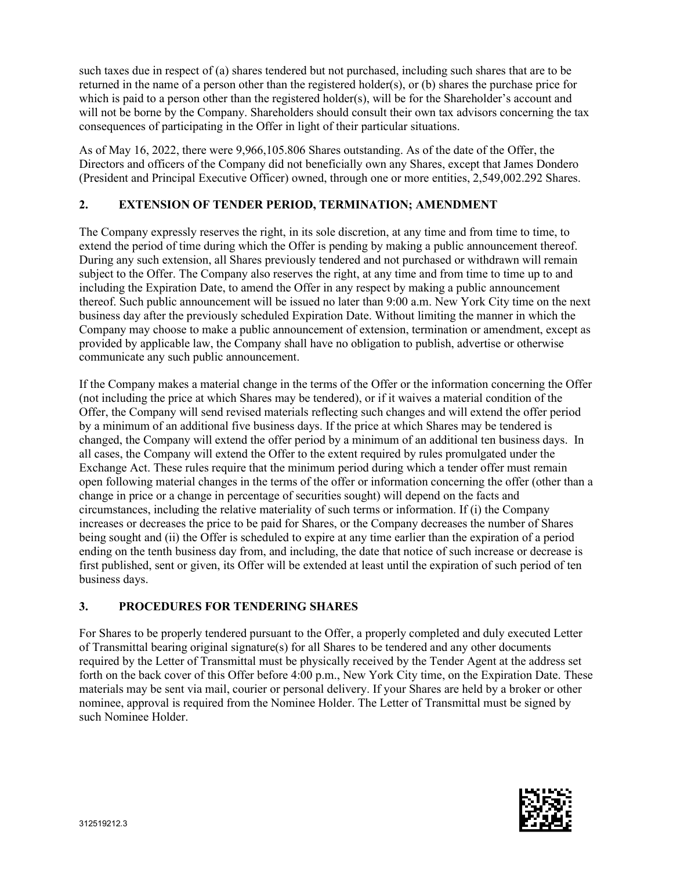such taxes due in respect of (a) shares tendered but not purchased, including such shares that are to be returned in the name of a person other than the registered holder(s), or (b) shares the purchase price for which is paid to a person other than the registered holder(s), will be for the Shareholder's account and will not be borne by the Company. Shareholders should consult their own tax advisors concerning the tax consequences of participating in the Offer in light of their particular situations.

As of May 16, 2022, there were 9,966,105.806 Shares outstanding. As of the date of the Offer, the Directors and officers of the Company did not beneficially own any Shares, except that James Dondero (President and Principal Executive Officer) owned, through one or more entities, 2,549,002.292 Shares.

### <span id="page-14-0"></span>**2. EXTENSION OF TENDER PERIOD, TERMINATION; AMENDMENT**

The Company expressly reserves the right, in its sole discretion, at any time and from time to time, to extend the period of time during which the Offer is pending by making a public announcement thereof. During any such extension, all Shares previously tendered and not purchased or withdrawn will remain subject to the Offer. The Company also reserves the right, at any time and from time to time up to and including the Expiration Date, to amend the Offer in any respect by making a public announcement thereof. Such public announcement will be issued no later than 9:00 a.m. New York City time on the next business day after the previously scheduled Expiration Date. Without limiting the manner in which the Company may choose to make a public announcement of extension, termination or amendment, except as provided by applicable law, the Company shall have no obligation to publish, advertise or otherwise communicate any such public announcement.

If the Company makes a material change in the terms of the Offer or the information concerning the Offer (not including the price at which Shares may be tendered), or if it waives a material condition of the Offer, the Company will send revised materials reflecting such changes and will extend the offer period by a minimum of an additional five business days. If the price at which Shares may be tendered is changed, the Company will extend the offer period by a minimum of an additional ten business days. In all cases, the Company will extend the Offer to the extent required by rules promulgated under the Exchange Act. These rules require that the minimum period during which a tender offer must remain open following material changes in the terms of the offer or information concerning the offer (other than a change in price or a change in percentage of securities sought) will depend on the facts and circumstances, including the relative materiality of such terms or information. If (i) the Company increases or decreases the price to be paid for Shares, or the Company decreases the number of Shares being sought and (ii) the Offer is scheduled to expire at any time earlier than the expiration of a period ending on the tenth business day from, and including, the date that notice of such increase or decrease is first published, sent or given, its Offer will be extended at least until the expiration of such period of ten business days.

### <span id="page-14-1"></span>**3. PROCEDURES FOR TENDERING SHARES**

For Shares to be properly tendered pursuant to the Offer, a properly completed and duly executed Letter of Transmittal bearing original signature(s) for all Shares to be tendered and any other documents required by the Letter of Transmittal must be physically received by the Tender Agent at the address set forth on the back cover of this Offer before 4:00 p.m., New York City time, on the Expiration Date. These materials may be sent via mail, courier or personal delivery. If your Shares are held by a broker or other nominee, approval is required from the Nominee Holder. The Letter of Transmittal must be signed by such Nominee Holder.

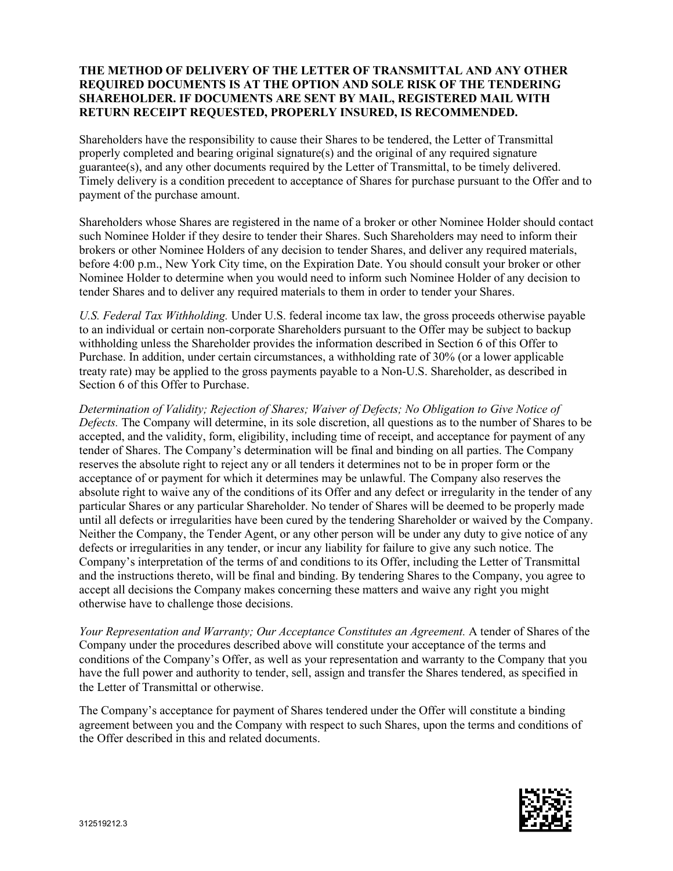### **THE METHOD OF DELIVERY OF THE LETTER OF TRANSMITTAL AND ANY OTHER REQUIRED DOCUMENTS IS AT THE OPTION AND SOLE RISK OF THE TENDERING SHAREHOLDER. IF DOCUMENTS ARE SENT BY MAIL, REGISTERED MAIL WITH RETURN RECEIPT REQUESTED, PROPERLY INSURED, IS RECOMMENDED.**

Shareholders have the responsibility to cause their Shares to be tendered, the Letter of Transmittal properly completed and bearing original signature(s) and the original of any required signature guarantee(s), and any other documents required by the Letter of Transmittal, to be timely delivered. Timely delivery is a condition precedent to acceptance of Shares for purchase pursuant to the Offer and to payment of the purchase amount.

Shareholders whose Shares are registered in the name of a broker or other Nominee Holder should contact such Nominee Holder if they desire to tender their Shares. Such Shareholders may need to inform their brokers or other Nominee Holders of any decision to tender Shares, and deliver any required materials, before 4:00 p.m., New York City time, on the Expiration Date. You should consult your broker or other Nominee Holder to determine when you would need to inform such Nominee Holder of any decision to tender Shares and to deliver any required materials to them in order to tender your Shares.

*U.S. Federal Tax Withholding.* Under U.S. federal income tax law, the gross proceeds otherwise payable to an individual or certain non-corporate Shareholders pursuant to the Offer may be subject to backup withholding unless the Shareholder provides the information described in Section 6 of this Offer to Purchase. In addition, under certain circumstances, a withholding rate of 30% (or a lower applicable treaty rate) may be applied to the gross payments payable to a Non-U.S. Shareholder, as described in Section 6 of this Offer to Purchase.

*Determination of Validity; Rejection of Shares; Waiver of Defects; No Obligation to Give Notice of Defects.* The Company will determine, in its sole discretion, all questions as to the number of Shares to be accepted, and the validity, form, eligibility, including time of receipt, and acceptance for payment of any tender of Shares. The Company's determination will be final and binding on all parties. The Company reserves the absolute right to reject any or all tenders it determines not to be in proper form or the acceptance of or payment for which it determines may be unlawful. The Company also reserves the absolute right to waive any of the conditions of its Offer and any defect or irregularity in the tender of any particular Shares or any particular Shareholder. No tender of Shares will be deemed to be properly made until all defects or irregularities have been cured by the tendering Shareholder or waived by the Company. Neither the Company, the Tender Agent, or any other person will be under any duty to give notice of any defects or irregularities in any tender, or incur any liability for failure to give any such notice. The Company's interpretation of the terms of and conditions to its Offer, including the Letter of Transmittal and the instructions thereto, will be final and binding. By tendering Shares to the Company, you agree to accept all decisions the Company makes concerning these matters and waive any right you might otherwise have to challenge those decisions.

*Your Representation and Warranty; Our Acceptance Constitutes an Agreement.* A tender of Shares of the Company under the procedures described above will constitute your acceptance of the terms and conditions of the Company's Offer, as well as your representation and warranty to the Company that you have the full power and authority to tender, sell, assign and transfer the Shares tendered, as specified in the Letter of Transmittal or otherwise.

The Company's acceptance for payment of Shares tendered under the Offer will constitute a binding agreement between you and the Company with respect to such Shares, upon the terms and conditions of the Offer described in this and related documents.

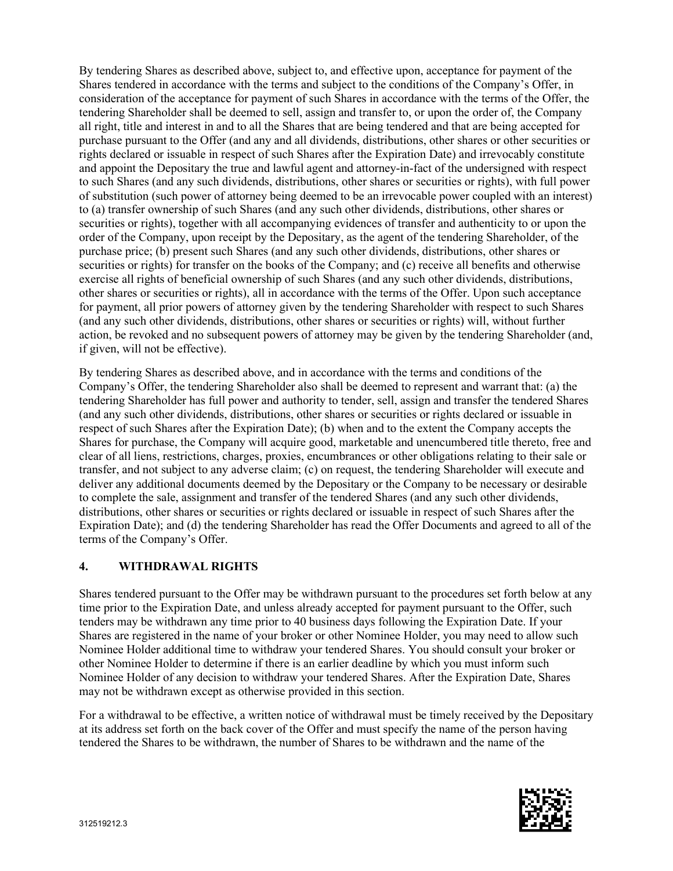By tendering Shares as described above, subject to, and effective upon, acceptance for payment of the Shares tendered in accordance with the terms and subject to the conditions of the Company's Offer, in consideration of the acceptance for payment of such Shares in accordance with the terms of the Offer, the tendering Shareholder shall be deemed to sell, assign and transfer to, or upon the order of, the Company all right, title and interest in and to all the Shares that are being tendered and that are being accepted for purchase pursuant to the Offer (and any and all dividends, distributions, other shares or other securities or rights declared or issuable in respect of such Shares after the Expiration Date) and irrevocably constitute and appoint the Depositary the true and lawful agent and attorney-in-fact of the undersigned with respect to such Shares (and any such dividends, distributions, other shares or securities or rights), with full power of substitution (such power of attorney being deemed to be an irrevocable power coupled with an interest) to (a) transfer ownership of such Shares (and any such other dividends, distributions, other shares or securities or rights), together with all accompanying evidences of transfer and authenticity to or upon the order of the Company, upon receipt by the Depositary, as the agent of the tendering Shareholder, of the purchase price; (b) present such Shares (and any such other dividends, distributions, other shares or securities or rights) for transfer on the books of the Company; and (c) receive all benefits and otherwise exercise all rights of beneficial ownership of such Shares (and any such other dividends, distributions, other shares or securities or rights), all in accordance with the terms of the Offer. Upon such acceptance for payment, all prior powers of attorney given by the tendering Shareholder with respect to such Shares (and any such other dividends, distributions, other shares or securities or rights) will, without further action, be revoked and no subsequent powers of attorney may be given by the tendering Shareholder (and, if given, will not be effective).

By tendering Shares as described above, and in accordance with the terms and conditions of the Company's Offer, the tendering Shareholder also shall be deemed to represent and warrant that: (a) the tendering Shareholder has full power and authority to tender, sell, assign and transfer the tendered Shares (and any such other dividends, distributions, other shares or securities or rights declared or issuable in respect of such Shares after the Expiration Date); (b) when and to the extent the Company accepts the Shares for purchase, the Company will acquire good, marketable and unencumbered title thereto, free and clear of all liens, restrictions, charges, proxies, encumbrances or other obligations relating to their sale or transfer, and not subject to any adverse claim; (c) on request, the tendering Shareholder will execute and deliver any additional documents deemed by the Depositary or the Company to be necessary or desirable to complete the sale, assignment and transfer of the tendered Shares (and any such other dividends, distributions, other shares or securities or rights declared or issuable in respect of such Shares after the Expiration Date); and (d) the tendering Shareholder has read the Offer Documents and agreed to all of the terms of the Company's Offer.

# <span id="page-16-0"></span>**4. WITHDRAWAL RIGHTS**

Shares tendered pursuant to the Offer may be withdrawn pursuant to the procedures set forth below at any time prior to the Expiration Date, and unless already accepted for payment pursuant to the Offer, such tenders may be withdrawn any time prior to 40 business days following the Expiration Date. If your Shares are registered in the name of your broker or other Nominee Holder, you may need to allow such Nominee Holder additional time to withdraw your tendered Shares. You should consult your broker or other Nominee Holder to determine if there is an earlier deadline by which you must inform such Nominee Holder of any decision to withdraw your tendered Shares. After the Expiration Date, Shares may not be withdrawn except as otherwise provided in this section.

For a withdrawal to be effective, a written notice of withdrawal must be timely received by the Depositary at its address set forth on the back cover of the Offer and must specify the name of the person having tendered the Shares to be withdrawn, the number of Shares to be withdrawn and the name of the

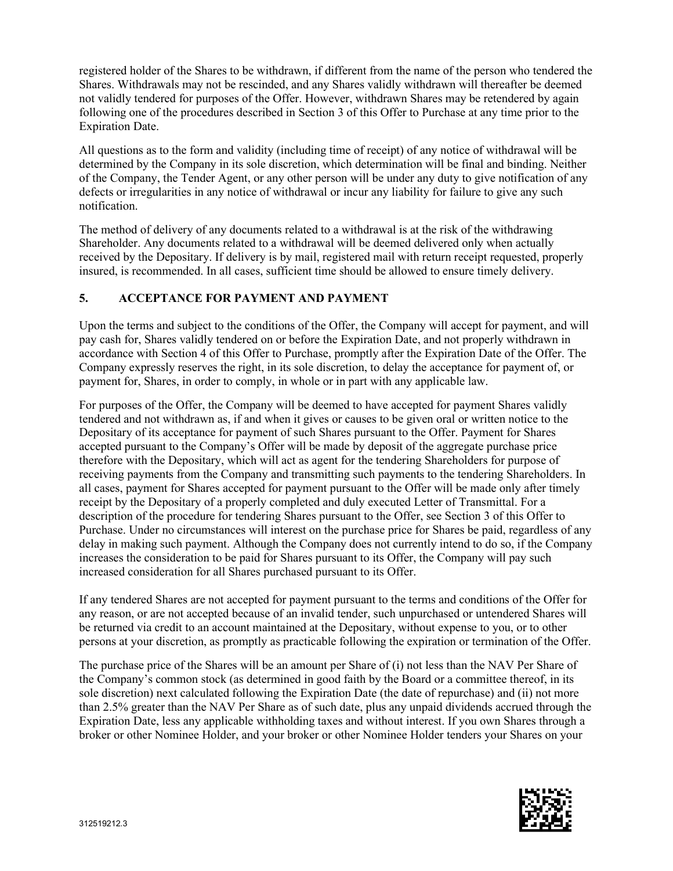registered holder of the Shares to be withdrawn, if different from the name of the person who tendered the Shares. Withdrawals may not be rescinded, and any Shares validly withdrawn will thereafter be deemed not validly tendered for purposes of the Offer. However, withdrawn Shares may be retendered by again following one of the procedures described in Section 3 of this Offer to Purchase at any time prior to the Expiration Date.

All questions as to the form and validity (including time of receipt) of any notice of withdrawal will be determined by the Company in its sole discretion, which determination will be final and binding. Neither of the Company, the Tender Agent, or any other person will be under any duty to give notification of any defects or irregularities in any notice of withdrawal or incur any liability for failure to give any such notification.

The method of delivery of any documents related to a withdrawal is at the risk of the withdrawing Shareholder. Any documents related to a withdrawal will be deemed delivered only when actually received by the Depositary. If delivery is by mail, registered mail with return receipt requested, properly insured, is recommended. In all cases, sufficient time should be allowed to ensure timely delivery.

# <span id="page-17-0"></span>**5. ACCEPTANCE FOR PAYMENT AND PAYMENT**

Upon the terms and subject to the conditions of the Offer, the Company will accept for payment, and will pay cash for, Shares validly tendered on or before the Expiration Date, and not properly withdrawn in accordance with Section 4 of this Offer to Purchase, promptly after the Expiration Date of the Offer. The Company expressly reserves the right, in its sole discretion, to delay the acceptance for payment of, or payment for, Shares, in order to comply, in whole or in part with any applicable law.

For purposes of the Offer, the Company will be deemed to have accepted for payment Shares validly tendered and not withdrawn as, if and when it gives or causes to be given oral or written notice to the Depositary of its acceptance for payment of such Shares pursuant to the Offer. Payment for Shares accepted pursuant to the Company's Offer will be made by deposit of the aggregate purchase price therefore with the Depositary, which will act as agent for the tendering Shareholders for purpose of receiving payments from the Company and transmitting such payments to the tendering Shareholders. In all cases, payment for Shares accepted for payment pursuant to the Offer will be made only after timely receipt by the Depositary of a properly completed and duly executed Letter of Transmittal. For a description of the procedure for tendering Shares pursuant to the Offer, see Section 3 of this Offer to Purchase. Under no circumstances will interest on the purchase price for Shares be paid, regardless of any delay in making such payment. Although the Company does not currently intend to do so, if the Company increases the consideration to be paid for Shares pursuant to its Offer, the Company will pay such increased consideration for all Shares purchased pursuant to its Offer.

If any tendered Shares are not accepted for payment pursuant to the terms and conditions of the Offer for any reason, or are not accepted because of an invalid tender, such unpurchased or untendered Shares will be returned via credit to an account maintained at the Depositary, without expense to you, or to other persons at your discretion, as promptly as practicable following the expiration or termination of the Offer.

The purchase price of the Shares will be an amount per Share of (i) not less than the NAV Per Share of the Company's common stock (as determined in good faith by the Board or a committee thereof, in its sole discretion) next calculated following the Expiration Date (the date of repurchase) and (ii) not more than 2.5% greater than the NAV Per Share as of such date, plus any unpaid dividends accrued through the Expiration Date, less any applicable withholding taxes and without interest. If you own Shares through a broker or other Nominee Holder, and your broker or other Nominee Holder tenders your Shares on your

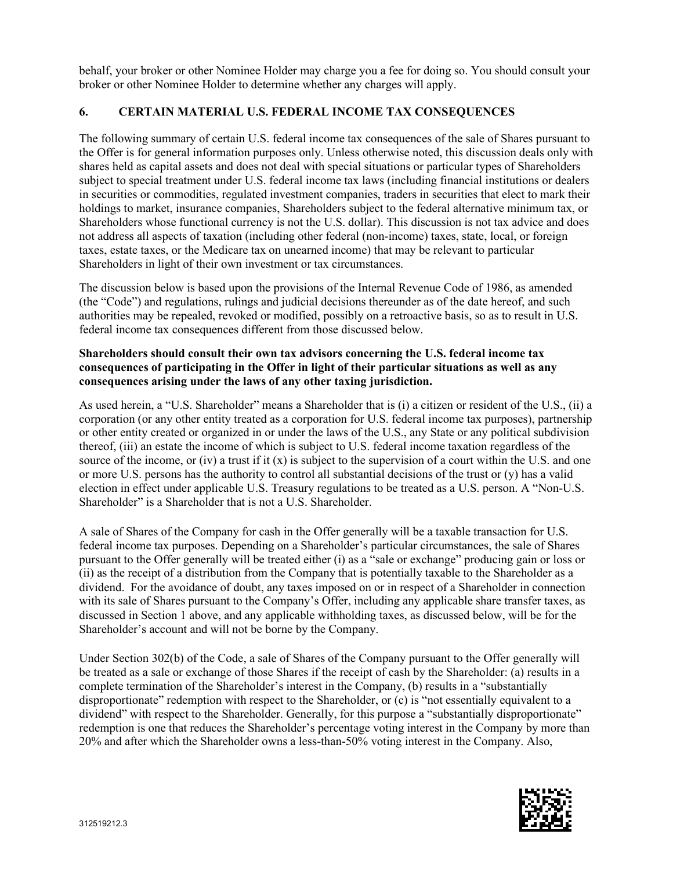behalf, your broker or other Nominee Holder may charge you a fee for doing so. You should consult your broker or other Nominee Holder to determine whether any charges will apply.

# <span id="page-18-0"></span>**6. CERTAIN MATERIAL U.S. FEDERAL INCOME TAX CONSEQUENCES**

The following summary of certain U.S. federal income tax consequences of the sale of Shares pursuant to the Offer is for general information purposes only. Unless otherwise noted, this discussion deals only with shares held as capital assets and does not deal with special situations or particular types of Shareholders subject to special treatment under U.S. federal income tax laws (including financial institutions or dealers in securities or commodities, regulated investment companies, traders in securities that elect to mark their holdings to market, insurance companies, Shareholders subject to the federal alternative minimum tax, or Shareholders whose functional currency is not the U.S. dollar). This discussion is not tax advice and does not address all aspects of taxation (including other federal (non-income) taxes, state, local, or foreign taxes, estate taxes, or the Medicare tax on unearned income) that may be relevant to particular Shareholders in light of their own investment or tax circumstances.

The discussion below is based upon the provisions of the Internal Revenue Code of 1986, as amended (the "Code") and regulations, rulings and judicial decisions thereunder as of the date hereof, and such authorities may be repealed, revoked or modified, possibly on a retroactive basis, so as to result in U.S. federal income tax consequences different from those discussed below.

### **Shareholders should consult their own tax advisors concerning the U.S. federal income tax consequences of participating in the Offer in light of their particular situations as well as any consequences arising under the laws of any other taxing jurisdiction.**

As used herein, a "U.S. Shareholder" means a Shareholder that is (i) a citizen or resident of the U.S., (ii) a corporation (or any other entity treated as a corporation for U.S. federal income tax purposes), partnership or other entity created or organized in or under the laws of the U.S., any State or any political subdivision thereof, (iii) an estate the income of which is subject to U.S. federal income taxation regardless of the source of the income, or (iv) a trust if it  $(x)$  is subject to the supervision of a court within the U.S. and one or more U.S. persons has the authority to control all substantial decisions of the trust or (y) has a valid election in effect under applicable U.S. Treasury regulations to be treated as a U.S. person. A "Non-U.S. Shareholder" is a Shareholder that is not a U.S. Shareholder.

A sale of Shares of the Company for cash in the Offer generally will be a taxable transaction for U.S. federal income tax purposes. Depending on a Shareholder's particular circumstances, the sale of Shares pursuant to the Offer generally will be treated either (i) as a "sale or exchange" producing gain or loss or (ii) as the receipt of a distribution from the Company that is potentially taxable to the Shareholder as a dividend. For the avoidance of doubt, any taxes imposed on or in respect of a Shareholder in connection with its sale of Shares pursuant to the Company's Offer, including any applicable share transfer taxes, as discussed in Section 1 above, and any applicable withholding taxes, as discussed below, will be for the Shareholder's account and will not be borne by the Company.

Under Section 302(b) of the Code, a sale of Shares of the Company pursuant to the Offer generally will be treated as a sale or exchange of those Shares if the receipt of cash by the Shareholder: (a) results in a complete termination of the Shareholder's interest in the Company, (b) results in a "substantially disproportionate" redemption with respect to the Shareholder, or (c) is "not essentially equivalent to a dividend" with respect to the Shareholder. Generally, for this purpose a "substantially disproportionate" redemption is one that reduces the Shareholder's percentage voting interest in the Company by more than 20% and after which the Shareholder owns a less-than-50% voting interest in the Company. Also,

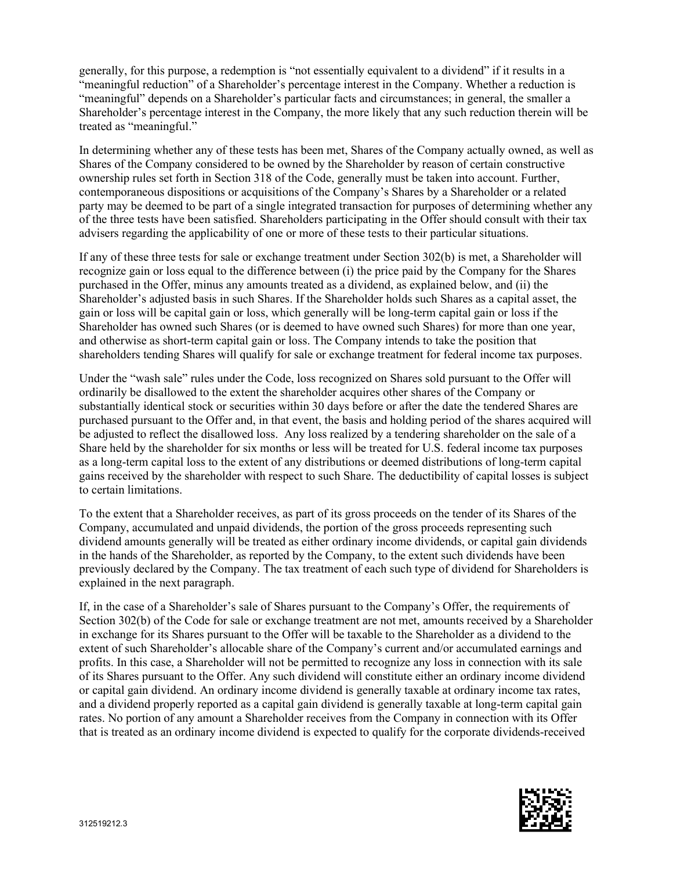generally, for this purpose, a redemption is "not essentially equivalent to a dividend" if it results in a "meaningful reduction" of a Shareholder's percentage interest in the Company. Whether a reduction is "meaningful" depends on a Shareholder's particular facts and circumstances; in general, the smaller a Shareholder's percentage interest in the Company, the more likely that any such reduction therein will be treated as "meaningful."

In determining whether any of these tests has been met, Shares of the Company actually owned, as well as Shares of the Company considered to be owned by the Shareholder by reason of certain constructive ownership rules set forth in Section 318 of the Code, generally must be taken into account. Further, contemporaneous dispositions or acquisitions of the Company's Shares by a Shareholder or a related party may be deemed to be part of a single integrated transaction for purposes of determining whether any of the three tests have been satisfied. Shareholders participating in the Offer should consult with their tax advisers regarding the applicability of one or more of these tests to their particular situations.

If any of these three tests for sale or exchange treatment under Section 302(b) is met, a Shareholder will recognize gain or loss equal to the difference between (i) the price paid by the Company for the Shares purchased in the Offer, minus any amounts treated as a dividend, as explained below, and (ii) the Shareholder's adjusted basis in such Shares. If the Shareholder holds such Shares as a capital asset, the gain or loss will be capital gain or loss, which generally will be long-term capital gain or loss if the Shareholder has owned such Shares (or is deemed to have owned such Shares) for more than one year, and otherwise as short-term capital gain or loss. The Company intends to take the position that shareholders tending Shares will qualify for sale or exchange treatment for federal income tax purposes.

Under the "wash sale" rules under the Code, loss recognized on Shares sold pursuant to the Offer will ordinarily be disallowed to the extent the shareholder acquires other shares of the Company or substantially identical stock or securities within 30 days before or after the date the tendered Shares are purchased pursuant to the Offer and, in that event, the basis and holding period of the shares acquired will be adjusted to reflect the disallowed loss. Any loss realized by a tendering shareholder on the sale of a Share held by the shareholder for six months or less will be treated for U.S. federal income tax purposes as a long-term capital loss to the extent of any distributions or deemed distributions of long-term capital gains received by the shareholder with respect to such Share. The deductibility of capital losses is subject to certain limitations.

To the extent that a Shareholder receives, as part of its gross proceeds on the tender of its Shares of the Company, accumulated and unpaid dividends, the portion of the gross proceeds representing such dividend amounts generally will be treated as either ordinary income dividends, or capital gain dividends in the hands of the Shareholder, as reported by the Company, to the extent such dividends have been previously declared by the Company. The tax treatment of each such type of dividend for Shareholders is explained in the next paragraph.

If, in the case of a Shareholder's sale of Shares pursuant to the Company's Offer, the requirements of Section 302(b) of the Code for sale or exchange treatment are not met, amounts received by a Shareholder in exchange for its Shares pursuant to the Offer will be taxable to the Shareholder as a dividend to the extent of such Shareholder's allocable share of the Company's current and/or accumulated earnings and profits. In this case, a Shareholder will not be permitted to recognize any loss in connection with its sale of its Shares pursuant to the Offer. Any such dividend will constitute either an ordinary income dividend or capital gain dividend. An ordinary income dividend is generally taxable at ordinary income tax rates, and a dividend properly reported as a capital gain dividend is generally taxable at long-term capital gain rates. No portion of any amount a Shareholder receives from the Company in connection with its Offer that is treated as an ordinary income dividend is expected to qualify for the corporate dividends-received

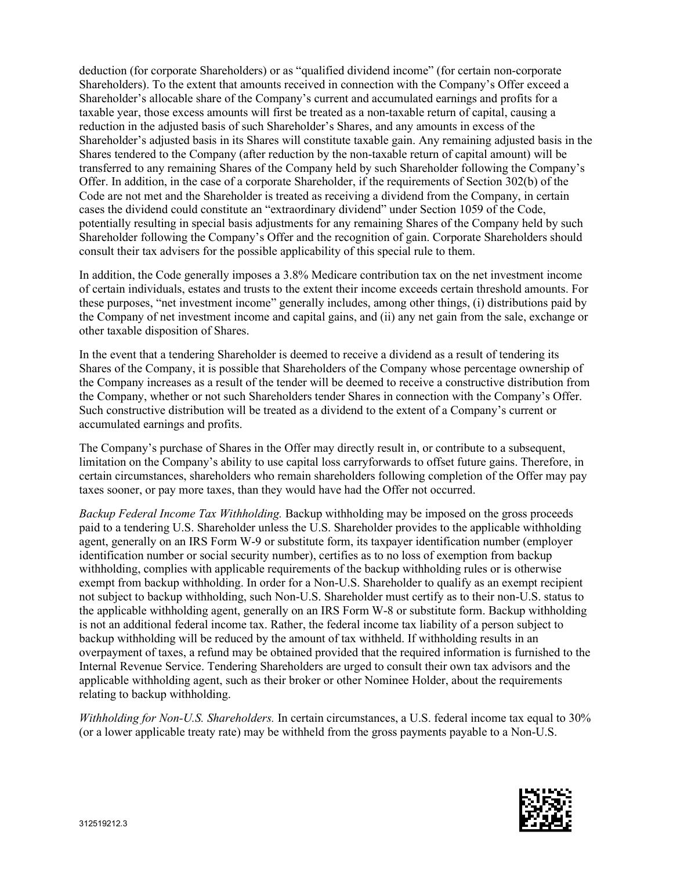deduction (for corporate Shareholders) or as "qualified dividend income" (for certain non-corporate Shareholders). To the extent that amounts received in connection with the Company's Offer exceed a Shareholder's allocable share of the Company's current and accumulated earnings and profits for a taxable year, those excess amounts will first be treated as a non-taxable return of capital, causing a reduction in the adjusted basis of such Shareholder's Shares, and any amounts in excess of the Shareholder's adjusted basis in its Shares will constitute taxable gain. Any remaining adjusted basis in the Shares tendered to the Company (after reduction by the non-taxable return of capital amount) will be transferred to any remaining Shares of the Company held by such Shareholder following the Company's Offer. In addition, in the case of a corporate Shareholder, if the requirements of Section 302(b) of the Code are not met and the Shareholder is treated as receiving a dividend from the Company, in certain cases the dividend could constitute an "extraordinary dividend" under Section 1059 of the Code, potentially resulting in special basis adjustments for any remaining Shares of the Company held by such Shareholder following the Company's Offer and the recognition of gain. Corporate Shareholders should consult their tax advisers for the possible applicability of this special rule to them.

In addition, the Code generally imposes a 3.8% Medicare contribution tax on the net investment income of certain individuals, estates and trusts to the extent their income exceeds certain threshold amounts. For these purposes, "net investment income" generally includes, among other things, (i) distributions paid by the Company of net investment income and capital gains, and (ii) any net gain from the sale, exchange or other taxable disposition of Shares.

In the event that a tendering Shareholder is deemed to receive a dividend as a result of tendering its Shares of the Company, it is possible that Shareholders of the Company whose percentage ownership of the Company increases as a result of the tender will be deemed to receive a constructive distribution from the Company, whether or not such Shareholders tender Shares in connection with the Company's Offer. Such constructive distribution will be treated as a dividend to the extent of a Company's current or accumulated earnings and profits.

The Company's purchase of Shares in the Offer may directly result in, or contribute to a subsequent, limitation on the Company's ability to use capital loss carryforwards to offset future gains. Therefore, in certain circumstances, shareholders who remain shareholders following completion of the Offer may pay taxes sooner, or pay more taxes, than they would have had the Offer not occurred.

*Backup Federal Income Tax Withholding.* Backup withholding may be imposed on the gross proceeds paid to a tendering U.S. Shareholder unless the U.S. Shareholder provides to the applicable withholding agent, generally on an IRS Form W-9 or substitute form, its taxpayer identification number (employer identification number or social security number), certifies as to no loss of exemption from backup withholding, complies with applicable requirements of the backup withholding rules or is otherwise exempt from backup withholding. In order for a Non-U.S. Shareholder to qualify as an exempt recipient not subject to backup withholding, such Non-U.S. Shareholder must certify as to their non-U.S. status to the applicable withholding agent, generally on an IRS Form W-8 or substitute form. Backup withholding is not an additional federal income tax. Rather, the federal income tax liability of a person subject to backup withholding will be reduced by the amount of tax withheld. If withholding results in an overpayment of taxes, a refund may be obtained provided that the required information is furnished to the Internal Revenue Service. Tendering Shareholders are urged to consult their own tax advisors and the applicable withholding agent, such as their broker or other Nominee Holder, about the requirements relating to backup withholding.

*Withholding for Non-U.S. Shareholders.* In certain circumstances, a U.S. federal income tax equal to 30% (or a lower applicable treaty rate) may be withheld from the gross payments payable to a Non-U.S.

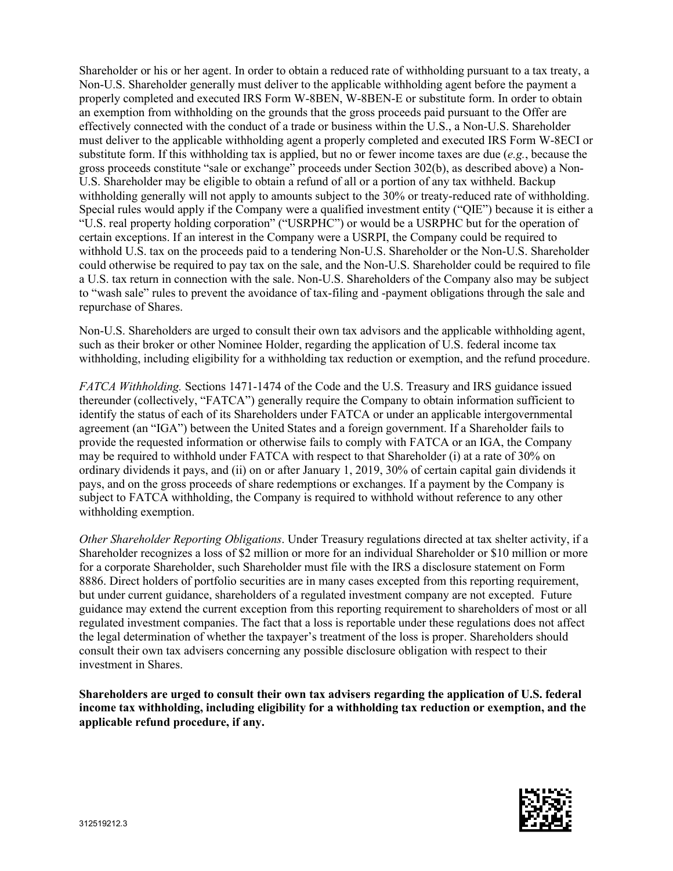Shareholder or his or her agent. In order to obtain a reduced rate of withholding pursuant to a tax treaty, a Non-U.S. Shareholder generally must deliver to the applicable withholding agent before the payment a properly completed and executed IRS Form W-8BEN, W-8BEN-E or substitute form. In order to obtain an exemption from withholding on the grounds that the gross proceeds paid pursuant to the Offer are effectively connected with the conduct of a trade or business within the U.S., a Non-U.S. Shareholder must deliver to the applicable withholding agent a properly completed and executed IRS Form W-8ECI or substitute form. If this withholding tax is applied, but no or fewer income taxes are due (*e.g.*, because the gross proceeds constitute "sale or exchange" proceeds under Section 302(b), as described above) a Non-U.S. Shareholder may be eligible to obtain a refund of all or a portion of any tax withheld. Backup withholding generally will not apply to amounts subject to the 30% or treaty-reduced rate of withholding. Special rules would apply if the Company were a qualified investment entity ("QIE") because it is either a "U.S. real property holding corporation" ("USRPHC") or would be a USRPHC but for the operation of certain exceptions. If an interest in the Company were a USRPI, the Company could be required to withhold U.S. tax on the proceeds paid to a tendering Non-U.S. Shareholder or the Non-U.S. Shareholder could otherwise be required to pay tax on the sale, and the Non-U.S. Shareholder could be required to file a U.S. tax return in connection with the sale. Non-U.S. Shareholders of the Company also may be subject to "wash sale" rules to prevent the avoidance of tax-filing and -payment obligations through the sale and repurchase of Shares.

Non-U.S. Shareholders are urged to consult their own tax advisors and the applicable withholding agent, such as their broker or other Nominee Holder, regarding the application of U.S. federal income tax withholding, including eligibility for a withholding tax reduction or exemption, and the refund procedure.

*FATCA Withholding.* Sections 1471-1474 of the Code and the U.S. Treasury and IRS guidance issued thereunder (collectively, "FATCA") generally require the Company to obtain information sufficient to identify the status of each of its Shareholders under FATCA or under an applicable intergovernmental agreement (an "IGA") between the United States and a foreign government. If a Shareholder fails to provide the requested information or otherwise fails to comply with FATCA or an IGA, the Company may be required to withhold under FATCA with respect to that Shareholder (i) at a rate of 30% on ordinary dividends it pays, and (ii) on or after January 1, 2019, 30% of certain capital gain dividends it pays, and on the gross proceeds of share redemptions or exchanges. If a payment by the Company is subject to FATCA withholding, the Company is required to withhold without reference to any other withholding exemption.

*Other Shareholder Reporting Obligations*. Under Treasury regulations directed at tax shelter activity, if a Shareholder recognizes a loss of \$2 million or more for an individual Shareholder or \$10 million or more for a corporate Shareholder, such Shareholder must file with the IRS a disclosure statement on Form 8886. Direct holders of portfolio securities are in many cases excepted from this reporting requirement, but under current guidance, shareholders of a regulated investment company are not excepted. Future guidance may extend the current exception from this reporting requirement to shareholders of most or all regulated investment companies. The fact that a loss is reportable under these regulations does not affect the legal determination of whether the taxpayer's treatment of the loss is proper. Shareholders should consult their own tax advisers concerning any possible disclosure obligation with respect to their investment in Shares.

**Shareholders are urged to consult their own tax advisers regarding the application of U.S. federal income tax withholding, including eligibility for a withholding tax reduction or exemption, and the applicable refund procedure, if any.**

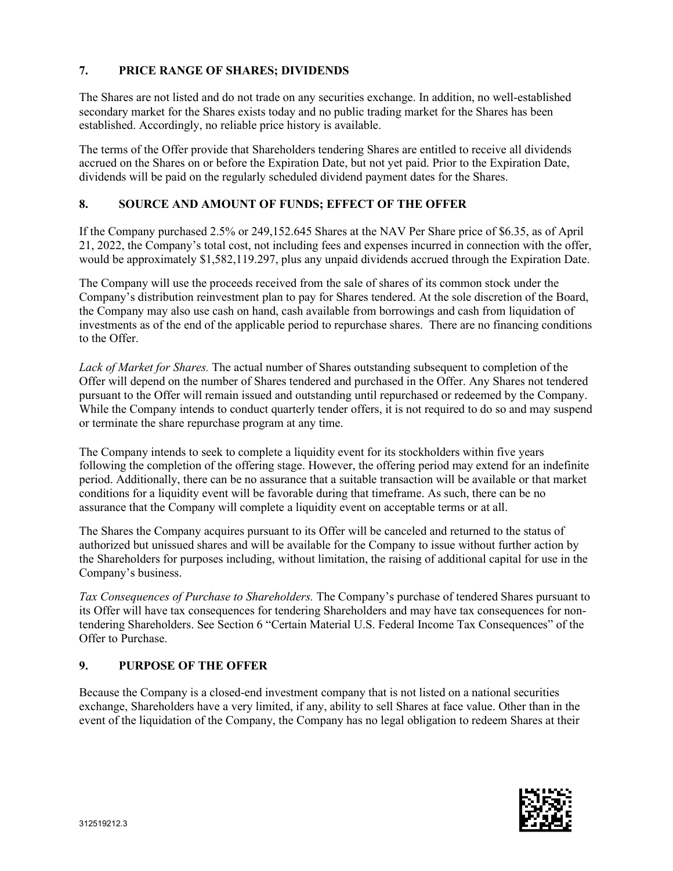### <span id="page-22-0"></span>**7. PRICE RANGE OF SHARES; DIVIDENDS**

The Shares are not listed and do not trade on any securities exchange. In addition, no well-established secondary market for the Shares exists today and no public trading market for the Shares has been established. Accordingly, no reliable price history is available.

The terms of the Offer provide that Shareholders tendering Shares are entitled to receive all dividends accrued on the Shares on or before the Expiration Date, but not yet paid. Prior to the Expiration Date, dividends will be paid on the regularly scheduled dividend payment dates for the Shares.

### <span id="page-22-1"></span>**8. SOURCE AND AMOUNT OF FUNDS; EFFECT OF THE OFFER**

If the Company purchased 2.5% or 249,152.645 Shares at the NAV Per Share price of \$6.35, as of April 21, 2022, the Company's total cost, not including fees and expenses incurred in connection with the offer, would be approximately \$1,582,119.297, plus any unpaid dividends accrued through the Expiration Date.

The Company will use the proceeds received from the sale of shares of its common stock under the Company's distribution reinvestment plan to pay for Shares tendered. At the sole discretion of the Board, the Company may also use cash on hand, cash available from borrowings and cash from liquidation of investments as of the end of the applicable period to repurchase shares. There are no financing conditions to the Offer.

*Lack of Market for Shares.* The actual number of Shares outstanding subsequent to completion of the Offer will depend on the number of Shares tendered and purchased in the Offer. Any Shares not tendered pursuant to the Offer will remain issued and outstanding until repurchased or redeemed by the Company. While the Company intends to conduct quarterly tender offers, it is not required to do so and may suspend or terminate the share repurchase program at any time.

The Company intends to seek to complete a liquidity event for its stockholders within five years following the completion of the offering stage. However, the offering period may extend for an indefinite period. Additionally, there can be no assurance that a suitable transaction will be available or that market conditions for a liquidity event will be favorable during that timeframe. As such, there can be no assurance that the Company will complete a liquidity event on acceptable terms or at all.

The Shares the Company acquires pursuant to its Offer will be canceled and returned to the status of authorized but unissued shares and will be available for the Company to issue without further action by the Shareholders for purposes including, without limitation, the raising of additional capital for use in the Company's business.

*Tax Consequences of Purchase to Shareholders.* The Company's purchase of tendered Shares pursuant to its Offer will have tax consequences for tendering Shareholders and may have tax consequences for nontendering Shareholders. See Section 6 "Certain Material U.S. Federal Income Tax Consequences" of the Offer to Purchase.

# <span id="page-22-2"></span>**9. PURPOSE OF THE OFFER**

Because the Company is a closed-end investment company that is not listed on a national securities exchange, Shareholders have a very limited, if any, ability to sell Shares at face value. Other than in the event of the liquidation of the Company, the Company has no legal obligation to redeem Shares at their

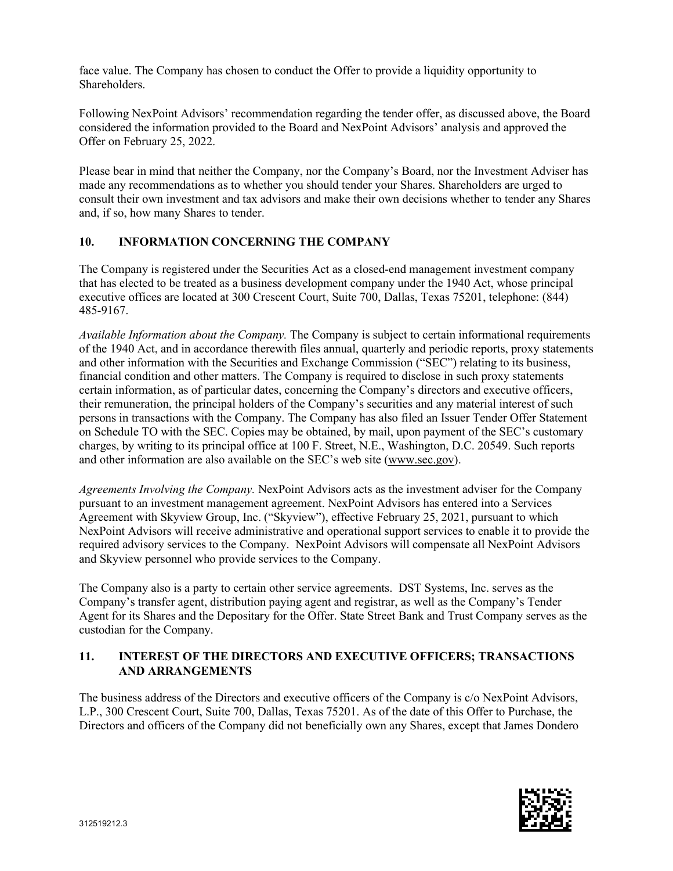face value. The Company has chosen to conduct the Offer to provide a liquidity opportunity to Shareholders.

Following NexPoint Advisors' recommendation regarding the tender offer, as discussed above, the Board considered the information provided to the Board and NexPoint Advisors' analysis and approved the Offer on February 25, 2022.

Please bear in mind that neither the Company, nor the Company's Board, nor the Investment Adviser has made any recommendations as to whether you should tender your Shares. Shareholders are urged to consult their own investment and tax advisors and make their own decisions whether to tender any Shares and, if so, how many Shares to tender.

### <span id="page-23-0"></span>**10. INFORMATION CONCERNING THE COMPANY**

The Company is registered under the Securities Act as a closed-end management investment company that has elected to be treated as a business development company under the 1940 Act, whose principal executive offices are located at 300 Crescent Court, Suite 700, Dallas, Texas 75201, telephone: (844) 485-9167.

*Available Information about the Company.* The Company is subject to certain informational requirements of the 1940 Act, and in accordance therewith files annual, quarterly and periodic reports, proxy statements and other information with the Securities and Exchange Commission ("SEC") relating to its business, financial condition and other matters. The Company is required to disclose in such proxy statements certain information, as of particular dates, concerning the Company's directors and executive officers, their remuneration, the principal holders of the Company's securities and any material interest of such persons in transactions with the Company. The Company has also filed an Issuer Tender Offer Statement on Schedule TO with the SEC. Copies may be obtained, by mail, upon payment of the SEC's customary charges, by writing to its principal office at 100 F. Street, N.E., Washington, D.C. 20549. Such reports and other information are also available on the SEC's web site (www.sec.gov).

*Agreements Involving the Company.* NexPoint Advisors acts as the investment adviser for the Company pursuant to an investment management agreement. NexPoint Advisors has entered into a Services Agreement with Skyview Group, Inc. ("Skyview"), effective February 25, 2021, pursuant to which NexPoint Advisors will receive administrative and operational support services to enable it to provide the required advisory services to the Company. NexPoint Advisors will compensate all NexPoint Advisors and Skyview personnel who provide services to the Company.

The Company also is a party to certain other service agreements. DST Systems, Inc. serves as the Company's transfer agent, distribution paying agent and registrar, as well as the Company's Tender Agent for its Shares and the Depositary for the Offer. State Street Bank and Trust Company serves as the custodian for the Company.

### <span id="page-23-1"></span>**11. INTEREST OF THE DIRECTORS AND EXECUTIVE OFFICERS; TRANSACTIONS AND ARRANGEMENTS**

The business address of the Directors and executive officers of the Company is c/o NexPoint Advisors, L.P., 300 Crescent Court, Suite 700, Dallas, Texas 75201. As of the date of this Offer to Purchase, the Directors and officers of the Company did not beneficially own any Shares, except that James Dondero

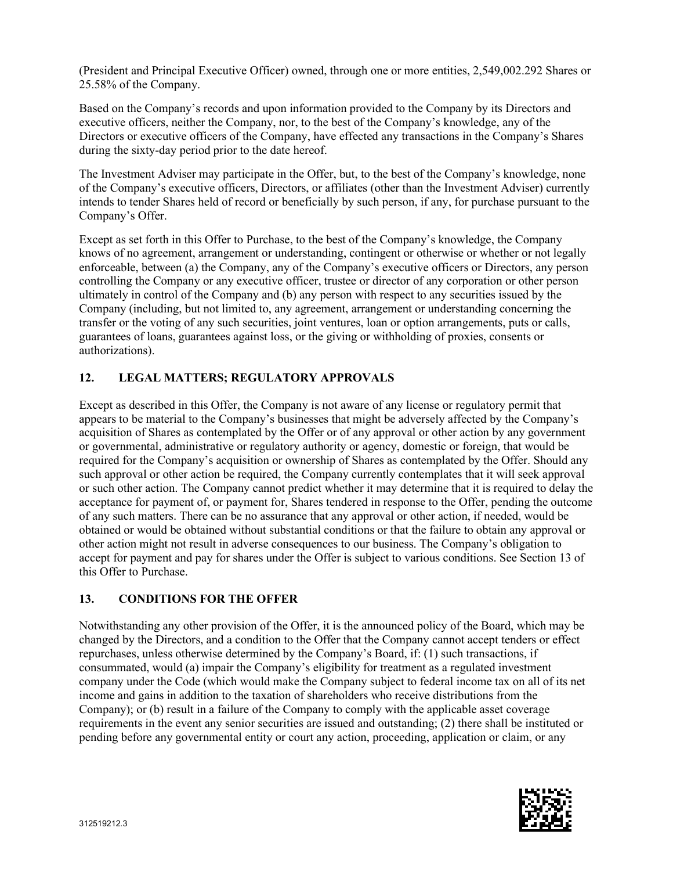(President and Principal Executive Officer) owned, through one or more entities, 2,549,002.292 Shares or 25.58% of the Company.

Based on the Company's records and upon information provided to the Company by its Directors and executive officers, neither the Company, nor, to the best of the Company's knowledge, any of the Directors or executive officers of the Company, have effected any transactions in the Company's Shares during the sixty-day period prior to the date hereof.

The Investment Adviser may participate in the Offer, but, to the best of the Company's knowledge, none of the Company's executive officers, Directors, or affiliates (other than the Investment Adviser) currently intends to tender Shares held of record or beneficially by such person, if any, for purchase pursuant to the Company's Offer.

Except as set forth in this Offer to Purchase, to the best of the Company's knowledge, the Company knows of no agreement, arrangement or understanding, contingent or otherwise or whether or not legally enforceable, between (a) the Company, any of the Company's executive officers or Directors, any person controlling the Company or any executive officer, trustee or director of any corporation or other person ultimately in control of the Company and (b) any person with respect to any securities issued by the Company (including, but not limited to, any agreement, arrangement or understanding concerning the transfer or the voting of any such securities, joint ventures, loan or option arrangements, puts or calls, guarantees of loans, guarantees against loss, or the giving or withholding of proxies, consents or authorizations).

# <span id="page-24-0"></span>**12. LEGAL MATTERS; REGULATORY APPROVALS**

Except as described in this Offer, the Company is not aware of any license or regulatory permit that appears to be material to the Company's businesses that might be adversely affected by the Company's acquisition of Shares as contemplated by the Offer or of any approval or other action by any government or governmental, administrative or regulatory authority or agency, domestic or foreign, that would be required for the Company's acquisition or ownership of Shares as contemplated by the Offer. Should any such approval or other action be required, the Company currently contemplates that it will seek approval or such other action. The Company cannot predict whether it may determine that it is required to delay the acceptance for payment of, or payment for, Shares tendered in response to the Offer, pending the outcome of any such matters. There can be no assurance that any approval or other action, if needed, would be obtained or would be obtained without substantial conditions or that the failure to obtain any approval or other action might not result in adverse consequences to our business. The Company's obligation to accept for payment and pay for shares under the Offer is subject to various conditions. See Section 13 of this Offer to Purchase.

# <span id="page-24-1"></span>**13. CONDITIONS FOR THE OFFER**

Notwithstanding any other provision of the Offer, it is the announced policy of the Board, which may be changed by the Directors, and a condition to the Offer that the Company cannot accept tenders or effect repurchases, unless otherwise determined by the Company's Board, if: (1) such transactions, if consummated, would (a) impair the Company's eligibility for treatment as a regulated investment company under the Code (which would make the Company subject to federal income tax on all of its net income and gains in addition to the taxation of shareholders who receive distributions from the Company); or (b) result in a failure of the Company to comply with the applicable asset coverage requirements in the event any senior securities are issued and outstanding; (2) there shall be instituted or pending before any governmental entity or court any action, proceeding, application or claim, or any

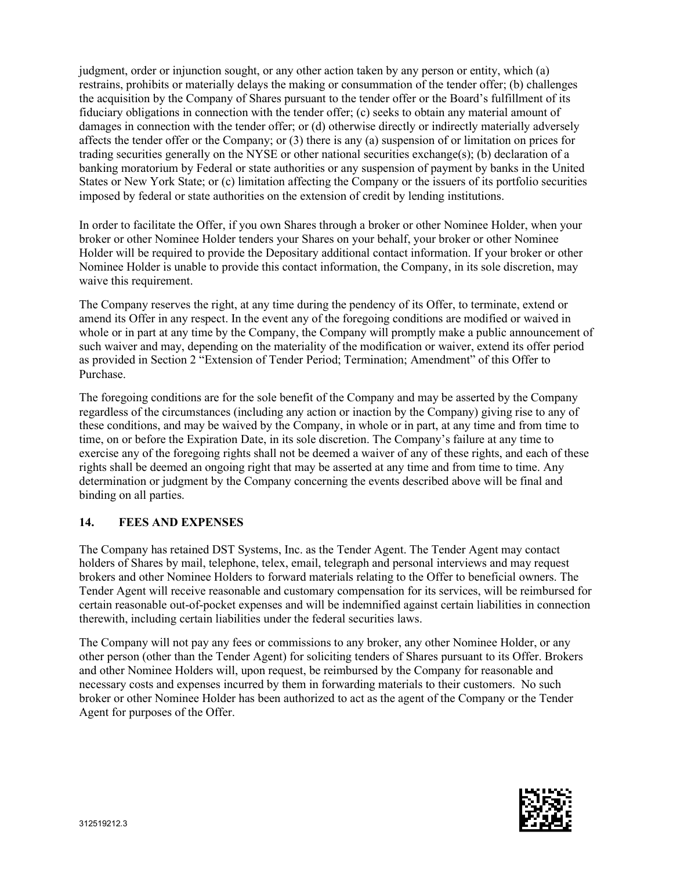judgment, order or injunction sought, or any other action taken by any person or entity, which (a) restrains, prohibits or materially delays the making or consummation of the tender offer; (b) challenges the acquisition by the Company of Shares pursuant to the tender offer or the Board's fulfillment of its fiduciary obligations in connection with the tender offer; (c) seeks to obtain any material amount of damages in connection with the tender offer; or (d) otherwise directly or indirectly materially adversely affects the tender offer or the Company; or (3) there is any (a) suspension of or limitation on prices for trading securities generally on the NYSE or other national securities exchange(s); (b) declaration of a banking moratorium by Federal or state authorities or any suspension of payment by banks in the United States or New York State; or (c) limitation affecting the Company or the issuers of its portfolio securities imposed by federal or state authorities on the extension of credit by lending institutions.

In order to facilitate the Offer, if you own Shares through a broker or other Nominee Holder, when your broker or other Nominee Holder tenders your Shares on your behalf, your broker or other Nominee Holder will be required to provide the Depositary additional contact information. If your broker or other Nominee Holder is unable to provide this contact information, the Company, in its sole discretion, may waive this requirement.

The Company reserves the right, at any time during the pendency of its Offer, to terminate, extend or amend its Offer in any respect. In the event any of the foregoing conditions are modified or waived in whole or in part at any time by the Company, the Company will promptly make a public announcement of such waiver and may, depending on the materiality of the modification or waiver, extend its offer period as provided in Section 2 "Extension of Tender Period; Termination; Amendment" of this Offer to Purchase.

The foregoing conditions are for the sole benefit of the Company and may be asserted by the Company regardless of the circumstances (including any action or inaction by the Company) giving rise to any of these conditions, and may be waived by the Company, in whole or in part, at any time and from time to time, on or before the Expiration Date, in its sole discretion. The Company's failure at any time to exercise any of the foregoing rights shall not be deemed a waiver of any of these rights, and each of these rights shall be deemed an ongoing right that may be asserted at any time and from time to time. Any determination or judgment by the Company concerning the events described above will be final and binding on all parties.

# <span id="page-25-0"></span>**14. FEES AND EXPENSES**

The Company has retained DST Systems, Inc. as the Tender Agent. The Tender Agent may contact holders of Shares by mail, telephone, telex, email, telegraph and personal interviews and may request brokers and other Nominee Holders to forward materials relating to the Offer to beneficial owners. The Tender Agent will receive reasonable and customary compensation for its services, will be reimbursed for certain reasonable out-of-pocket expenses and will be indemnified against certain liabilities in connection therewith, including certain liabilities under the federal securities laws.

The Company will not pay any fees or commissions to any broker, any other Nominee Holder, or any other person (other than the Tender Agent) for soliciting tenders of Shares pursuant to its Offer. Brokers and other Nominee Holders will, upon request, be reimbursed by the Company for reasonable and necessary costs and expenses incurred by them in forwarding materials to their customers. No such broker or other Nominee Holder has been authorized to act as the agent of the Company or the Tender Agent for purposes of the Offer.

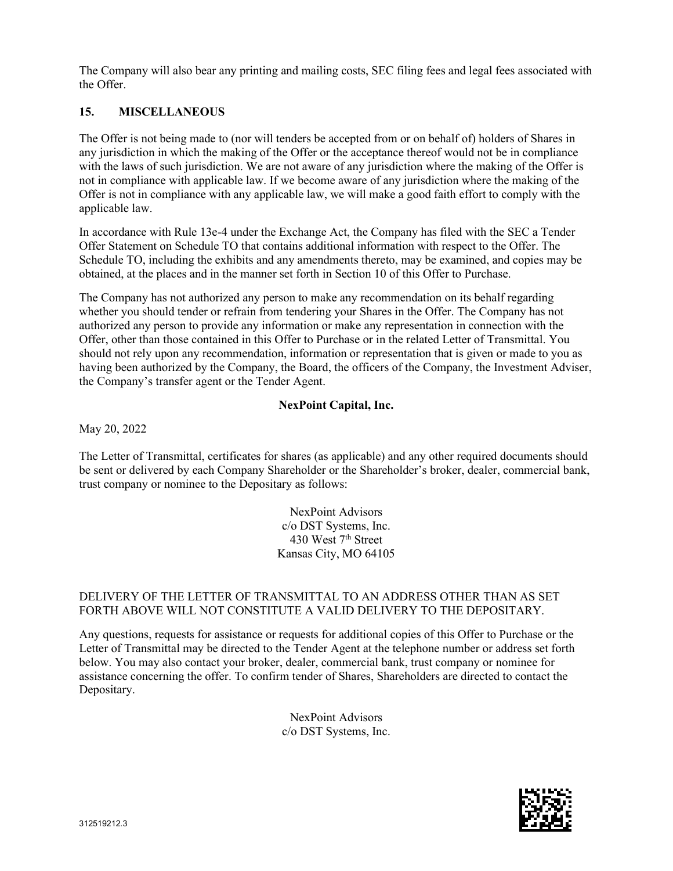The Company will also bear any printing and mailing costs, SEC filing fees and legal fees associated with the Offer.

# <span id="page-26-0"></span>**15. MISCELLANEOUS**

The Offer is not being made to (nor will tenders be accepted from or on behalf of) holders of Shares in any jurisdiction in which the making of the Offer or the acceptance thereof would not be in compliance with the laws of such jurisdiction. We are not aware of any jurisdiction where the making of the Offer is not in compliance with applicable law. If we become aware of any jurisdiction where the making of the Offer is not in compliance with any applicable law, we will make a good faith effort to comply with the applicable law.

In accordance with Rule 13e-4 under the Exchange Act, the Company has filed with the SEC a Tender Offer Statement on Schedule TO that contains additional information with respect to the Offer. The Schedule TO, including the exhibits and any amendments thereto, may be examined, and copies may be obtained, at the places and in the manner set forth in Section 10 of this Offer to Purchase.

The Company has not authorized any person to make any recommendation on its behalf regarding whether you should tender or refrain from tendering your Shares in the Offer. The Company has not authorized any person to provide any information or make any representation in connection with the Offer, other than those contained in this Offer to Purchase or in the related Letter of Transmittal. You should not rely upon any recommendation, information or representation that is given or made to you as having been authorized by the Company, the Board, the officers of the Company, the Investment Adviser, the Company's transfer agent or the Tender Agent.

### **NexPoint Capital, Inc.**

May 20, 2022

The Letter of Transmittal, certificates for shares (as applicable) and any other required documents should be sent or delivered by each Company Shareholder or the Shareholder's broker, dealer, commercial bank, trust company or nominee to the Depositary as follows:

> NexPoint Advisors c/o DST Systems, Inc. 430 West 7<sup>th</sup> Street Kansas City, MO 64105

### DELIVERY OF THE LETTER OF TRANSMITTAL TO AN ADDRESS OTHER THAN AS SET FORTH ABOVE WILL NOT CONSTITUTE A VALID DELIVERY TO THE DEPOSITARY.

Any questions, requests for assistance or requests for additional copies of this Offer to Purchase or the Letter of Transmittal may be directed to the Tender Agent at the telephone number or address set forth below. You may also contact your broker, dealer, commercial bank, trust company or nominee for assistance concerning the offer. To confirm tender of Shares, Shareholders are directed to contact the Depositary.

> NexPoint Advisors c/o DST Systems, Inc.

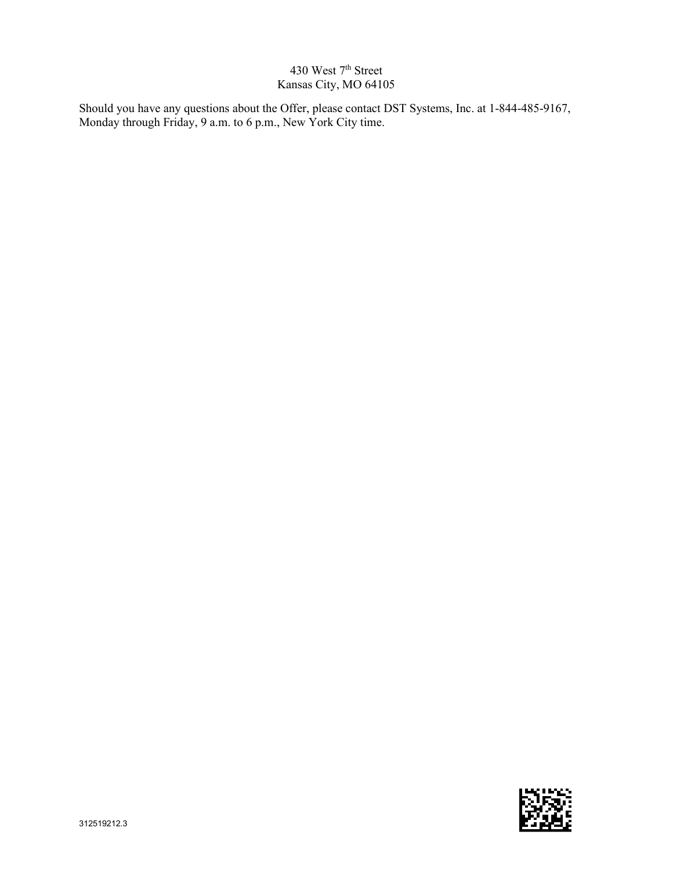# 430 West 7<sup>th</sup> Street Kansas City, MO 64105

Should you have any questions about the Offer, please contact DST Systems, Inc. at 1-844-485-9167, Monday through Friday, 9 a.m. to 6 p.m., New York City time.

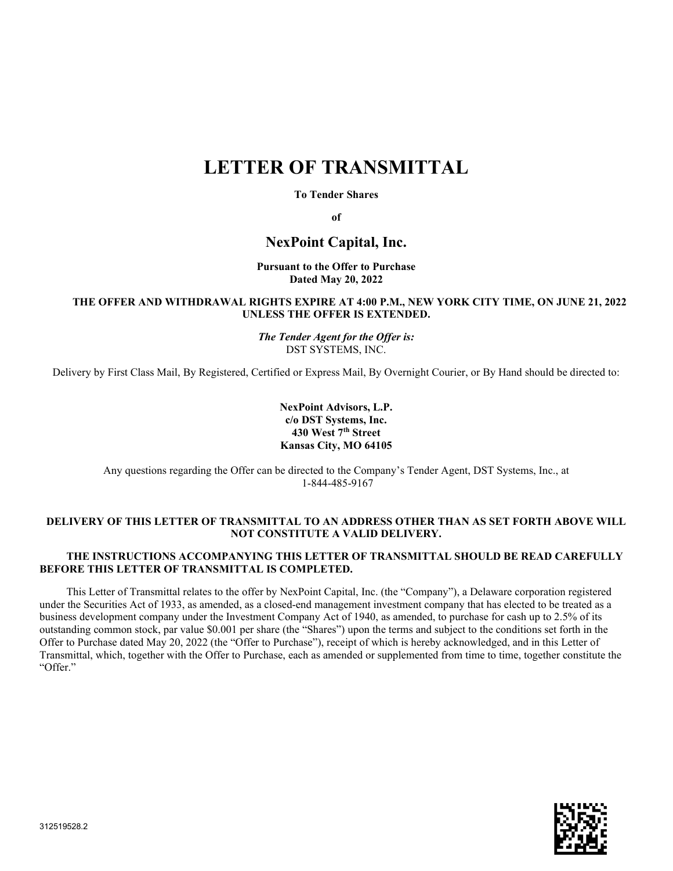# **LETTER OF TRANSMITTAL**

#### **To Tender Shares**

**of** 

# **NexPoint Capital, Inc.**

**Pursuant to the Offer to Purchase Dated May 20, 2022**

#### **THE OFFER AND WITHDRAWAL RIGHTS EXPIRE AT 4:00 P.M., NEW YORK CITY TIME, ON JUNE 21, 2022 UNLESS THE OFFER IS EXTENDED.**

*The Tender Agent for the Offer is:*  DST SYSTEMS, INC.

Delivery by First Class Mail, By Registered, Certified or Express Mail, By Overnight Courier, or By Hand should be directed to:

#### **NexPoint Advisors, L.P. c/o DST Systems, Inc. 430 West 7th Street Kansas City, MO 64105**

Any questions regarding the Offer can be directed to the Company's Tender Agent, DST Systems, Inc., at 1-844-485-9167

#### **DELIVERY OF THIS LETTER OF TRANSMITTAL TO AN ADDRESS OTHER THAN AS SET FORTH ABOVE WILL NOT CONSTITUTE A VALID DELIVERY.**

#### **THE INSTRUCTIONS ACCOMPANYING THIS LETTER OF TRANSMITTAL SHOULD BE READ CAREFULLY BEFORE THIS LETTER OF TRANSMITTAL IS COMPLETED.**

This Letter of Transmittal relates to the offer by NexPoint Capital, Inc. (the "Company"), a Delaware corporation registered under the Securities Act of 1933, as amended, as a closed-end management investment company that has elected to be treated as a business development company under the Investment Company Act of 1940, as amended, to purchase for cash up to 2.5% of its outstanding common stock, par value \$0.001 per share (the "Shares") upon the terms and subject to the conditions set forth in the Offer to Purchase dated May 20, 2022 (the "Offer to Purchase"), receipt of which is hereby acknowledged, and in this Letter of Transmittal, which, together with the Offer to Purchase, each as amended or supplemented from time to time, together constitute the "Offer."

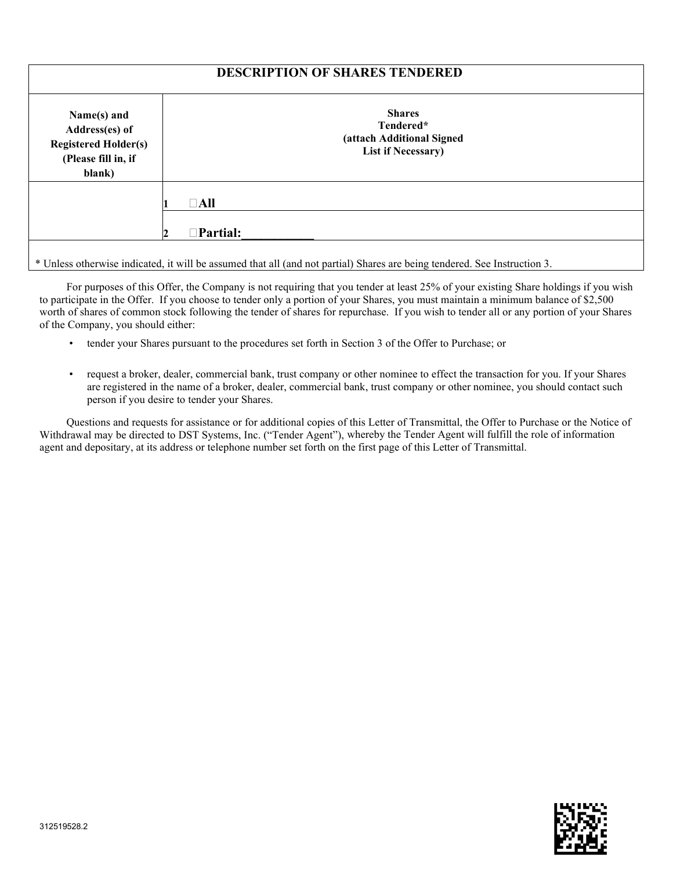| Name(s) and<br>Address(es) of<br><b>Registered Holder(s)</b><br>(Please fill in, if<br>blank) |                         | <b>Shares</b><br>Tendered*<br>(attach Additional Signed<br><b>List if Necessary</b> ) |  |
|-----------------------------------------------------------------------------------------------|-------------------------|---------------------------------------------------------------------------------------|--|
|                                                                                               | $\Box$ All              |                                                                                       |  |
|                                                                                               | $\exists$ Partial:<br>2 |                                                                                       |  |

For purposes of this Offer, the Company is not requiring that you tender at least 25% of your existing Share holdings if you wish to participate in the Offer. If you choose to tender only a portion of your Shares, you must maintain a minimum balance of \$2,500 worth of shares of common stock following the tender of shares for repurchase. If you wish to tender all or any portion of your Shares of the Company, you should either:

- tender your Shares pursuant to the procedures set forth in Section 3 of the Offer to Purchase; or
- request a broker, dealer, commercial bank, trust company or other nominee to effect the transaction for you. If your Shares are registered in the name of a broker, dealer, commercial bank, trust company or other nominee, you should contact such person if you desire to tender your Shares.

Questions and requests for assistance or for additional copies of this Letter of Transmittal, the Offer to Purchase or the Notice of Withdrawal may be directed to DST Systems, Inc. ("Tender Agent"), whereby the Tender Agent will fulfill the role of information agent and depositary, at its address or telephone number set forth on the first page of this Letter of Transmittal.

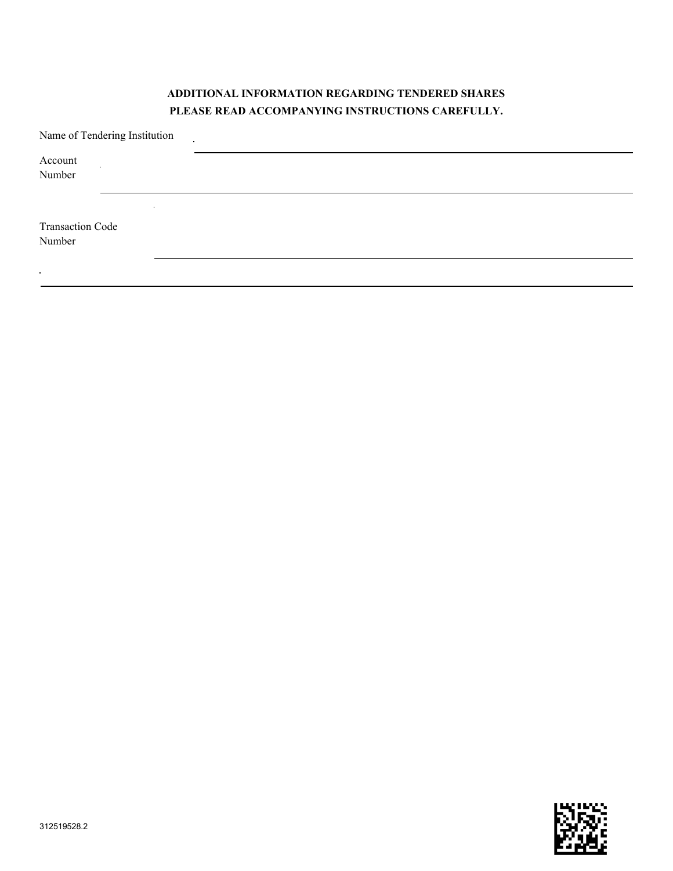# **ADDITIONAL INFORMATION REGARDING TENDERED SHARES PLEASE READ ACCOMPANYING INSTRUCTIONS CAREFULLY.**

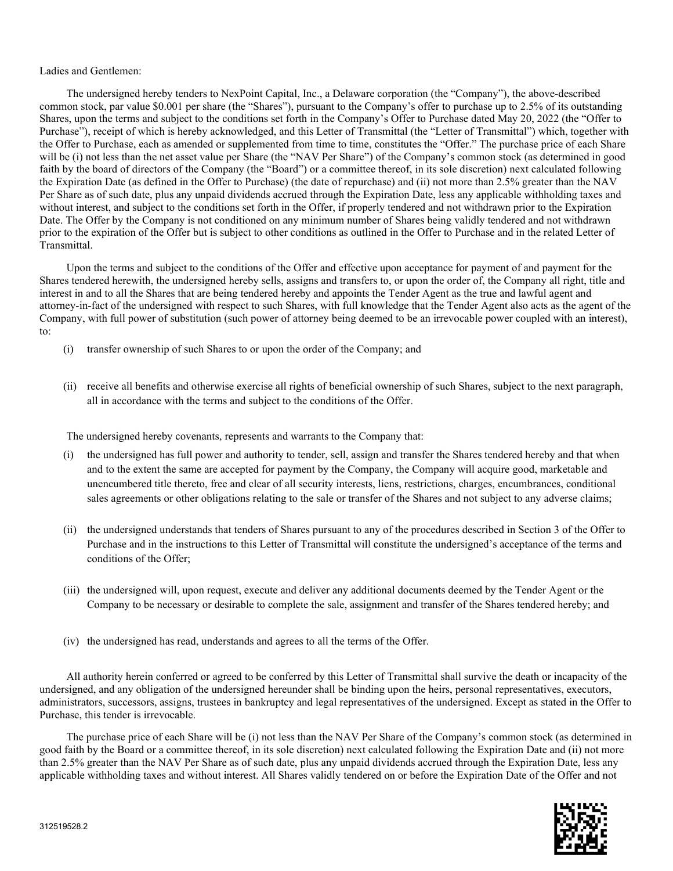#### Ladies and Gentlemen:

The undersigned hereby tenders to NexPoint Capital, Inc., a Delaware corporation (the "Company"), the above-described common stock, par value \$0.001 per share (the "Shares"), pursuant to the Company's offer to purchase up to 2.5% of its outstanding Shares, upon the terms and subject to the conditions set forth in the Company's Offer to Purchase dated May 20, 2022 (the "Offer to Purchase"), receipt of which is hereby acknowledged, and this Letter of Transmittal (the "Letter of Transmittal") which, together with the Offer to Purchase, each as amended or supplemented from time to time, constitutes the "Offer." The purchase price of each Share will be (i) not less than the net asset value per Share (the "NAV Per Share") of the Company's common stock (as determined in good faith by the board of directors of the Company (the "Board") or a committee thereof, in its sole discretion) next calculated following the Expiration Date (as defined in the Offer to Purchase) (the date of repurchase) and (ii) not more than 2.5% greater than the NAV Per Share as of such date, plus any unpaid dividends accrued through the Expiration Date, less any applicable withholding taxes and without interest, and subject to the conditions set forth in the Offer, if properly tendered and not withdrawn prior to the Expiration Date. The Offer by the Company is not conditioned on any minimum number of Shares being validly tendered and not withdrawn prior to the expiration of the Offer but is subject to other conditions as outlined in the Offer to Purchase and in the related Letter of Transmittal.

Upon the terms and subject to the conditions of the Offer and effective upon acceptance for payment of and payment for the Shares tendered herewith, the undersigned hereby sells, assigns and transfers to, or upon the order of, the Company all right, title and interest in and to all the Shares that are being tendered hereby and appoints the Tender Agent as the true and lawful agent and attorney-in-fact of the undersigned with respect to such Shares, with full knowledge that the Tender Agent also acts as the agent of the Company, with full power of substitution (such power of attorney being deemed to be an irrevocable power coupled with an interest), to:

- (i) transfer ownership of such Shares to or upon the order of the Company; and
- (ii) receive all benefits and otherwise exercise all rights of beneficial ownership of such Shares, subject to the next paragraph, all in accordance with the terms and subject to the conditions of the Offer.

The undersigned hereby covenants, represents and warrants to the Company that:

- (i) the undersigned has full power and authority to tender, sell, assign and transfer the Shares tendered hereby and that when and to the extent the same are accepted for payment by the Company, the Company will acquire good, marketable and unencumbered title thereto, free and clear of all security interests, liens, restrictions, charges, encumbrances, conditional sales agreements or other obligations relating to the sale or transfer of the Shares and not subject to any adverse claims;
- (ii) the undersigned understands that tenders of Shares pursuant to any of the procedures described in Section 3 of the Offer to Purchase and in the instructions to this Letter of Transmittal will constitute the undersigned's acceptance of the terms and conditions of the Offer;
- (iii) the undersigned will, upon request, execute and deliver any additional documents deemed by the Tender Agent or the Company to be necessary or desirable to complete the sale, assignment and transfer of the Shares tendered hereby; and
- (iv) the undersigned has read, understands and agrees to all the terms of the Offer.

All authority herein conferred or agreed to be conferred by this Letter of Transmittal shall survive the death or incapacity of the undersigned, and any obligation of the undersigned hereunder shall be binding upon the heirs, personal representatives, executors, administrators, successors, assigns, trustees in bankruptcy and legal representatives of the undersigned. Except as stated in the Offer to Purchase, this tender is irrevocable.

The purchase price of each Share will be (i) not less than the NAV Per Share of the Company's common stock (as determined in good faith by the Board or a committee thereof, in its sole discretion) next calculated following the Expiration Date and (ii) not more than 2.5% greater than the NAV Per Share as of such date, plus any unpaid dividends accrued through the Expiration Date, less any applicable withholding taxes and without interest. All Shares validly tendered on or before the Expiration Date of the Offer and not

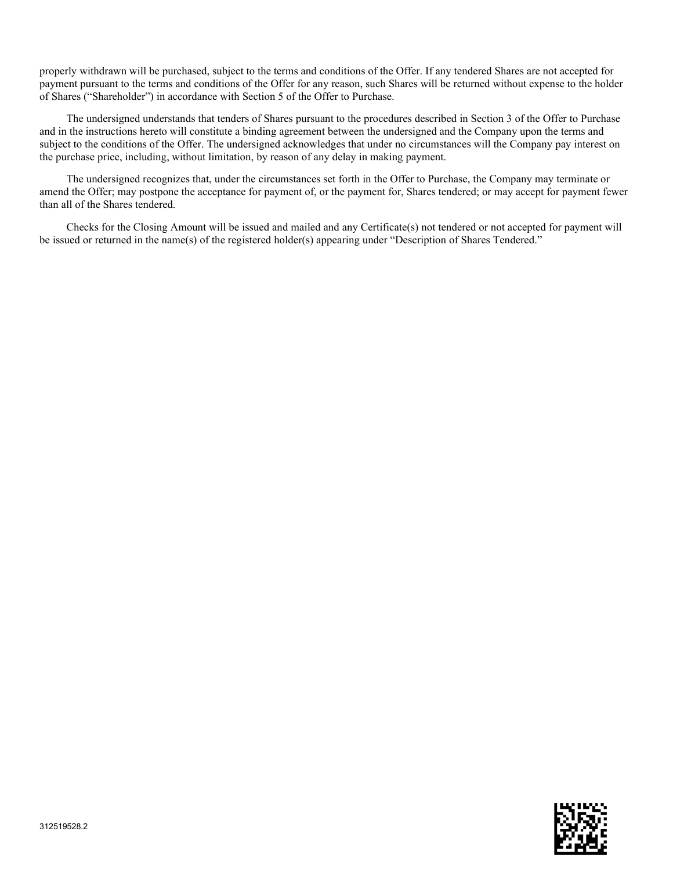properly withdrawn will be purchased, subject to the terms and conditions of the Offer. If any tendered Shares are not accepted for payment pursuant to the terms and conditions of the Offer for any reason, such Shares will be returned without expense to the holder of Shares ("Shareholder") in accordance with Section 5 of the Offer to Purchase.

The undersigned understands that tenders of Shares pursuant to the procedures described in Section 3 of the Offer to Purchase and in the instructions hereto will constitute a binding agreement between the undersigned and the Company upon the terms and subject to the conditions of the Offer. The undersigned acknowledges that under no circumstances will the Company pay interest on the purchase price, including, without limitation, by reason of any delay in making payment.

The undersigned recognizes that, under the circumstances set forth in the Offer to Purchase, the Company may terminate or amend the Offer; may postpone the acceptance for payment of, or the payment for, Shares tendered; or may accept for payment fewer than all of the Shares tendered.

Checks for the Closing Amount will be issued and mailed and any Certificate(s) not tendered or not accepted for payment will be issued or returned in the name(s) of the registered holder(s) appearing under "Description of Shares Tendered."

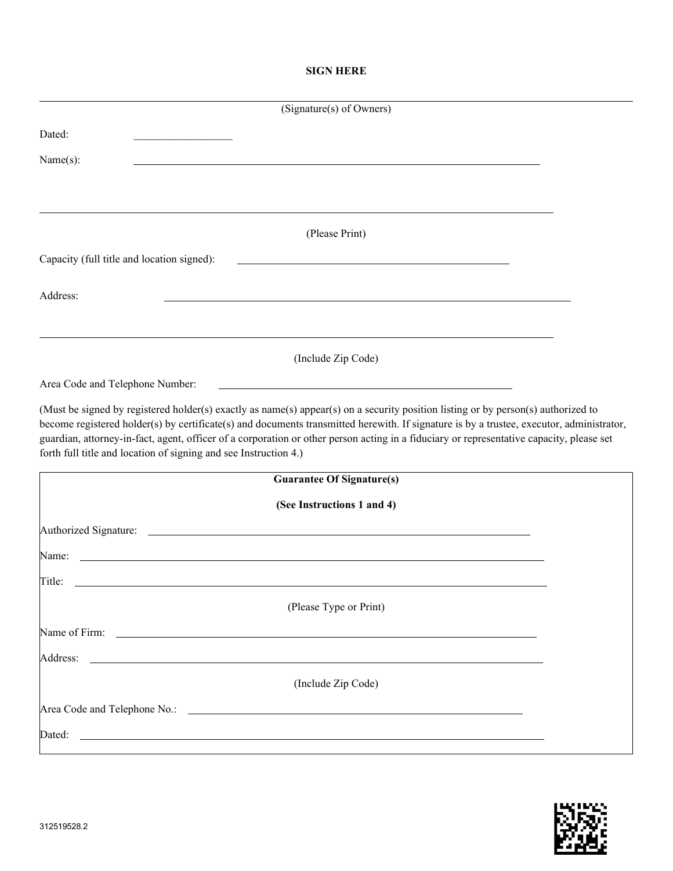#### **SIGN HERE**

| (Signature(s) of Owners)                                                                                                                                                                                                                                                                                                                                                                                                                                                                      |  |
|-----------------------------------------------------------------------------------------------------------------------------------------------------------------------------------------------------------------------------------------------------------------------------------------------------------------------------------------------------------------------------------------------------------------------------------------------------------------------------------------------|--|
|                                                                                                                                                                                                                                                                                                                                                                                                                                                                                               |  |
| Dated:                                                                                                                                                                                                                                                                                                                                                                                                                                                                                        |  |
| Name(s):                                                                                                                                                                                                                                                                                                                                                                                                                                                                                      |  |
|                                                                                                                                                                                                                                                                                                                                                                                                                                                                                               |  |
|                                                                                                                                                                                                                                                                                                                                                                                                                                                                                               |  |
| (Please Print)                                                                                                                                                                                                                                                                                                                                                                                                                                                                                |  |
| Capacity (full title and location signed):                                                                                                                                                                                                                                                                                                                                                                                                                                                    |  |
|                                                                                                                                                                                                                                                                                                                                                                                                                                                                                               |  |
| Address:<br><u> 1980 - Johann Barn, mars ann an t-Amhain Aonaichte ann an t-Aonaichte ann an t-Aonaichte ann an t-Aonaichte a</u>                                                                                                                                                                                                                                                                                                                                                             |  |
|                                                                                                                                                                                                                                                                                                                                                                                                                                                                                               |  |
|                                                                                                                                                                                                                                                                                                                                                                                                                                                                                               |  |
| (Include Zip Code)                                                                                                                                                                                                                                                                                                                                                                                                                                                                            |  |
| Area Code and Telephone Number:                                                                                                                                                                                                                                                                                                                                                                                                                                                               |  |
| (Must be signed by registered holder(s) exactly as name(s) appear(s) on a security position listing or by person(s) authorized to<br>become registered holder(s) by certificate(s) and documents transmitted herewith. If signature is by a trustee, executor, administrator,<br>guardian, attorney-in-fact, agent, officer of a corporation or other person acting in a fiduciary or representative capacity, please set<br>forth full title and location of signing and see Instruction 4.) |  |
| <b>Guarantee Of Signature(s)</b>                                                                                                                                                                                                                                                                                                                                                                                                                                                              |  |
| (See Instructions 1 and 4)                                                                                                                                                                                                                                                                                                                                                                                                                                                                    |  |
| Authorized Signature:<br><u> 1989 - Johann Barbara, martin amerikan basal dan berasal dan berasal dalam basal dalam basal dalam basal dala</u>                                                                                                                                                                                                                                                                                                                                                |  |
| Name:                                                                                                                                                                                                                                                                                                                                                                                                                                                                                         |  |
| Title:                                                                                                                                                                                                                                                                                                                                                                                                                                                                                        |  |
| (Please Type or Print)                                                                                                                                                                                                                                                                                                                                                                                                                                                                        |  |
|                                                                                                                                                                                                                                                                                                                                                                                                                                                                                               |  |
|                                                                                                                                                                                                                                                                                                                                                                                                                                                                                               |  |
| Address:                                                                                                                                                                                                                                                                                                                                                                                                                                                                                      |  |
| (Include Zip Code)                                                                                                                                                                                                                                                                                                                                                                                                                                                                            |  |
|                                                                                                                                                                                                                                                                                                                                                                                                                                                                                               |  |
| Dated:<br><u> 1989 - Johann Stoff, amerikansk politiker (d. 1989)</u>                                                                                                                                                                                                                                                                                                                                                                                                                         |  |
|                                                                                                                                                                                                                                                                                                                                                                                                                                                                                               |  |

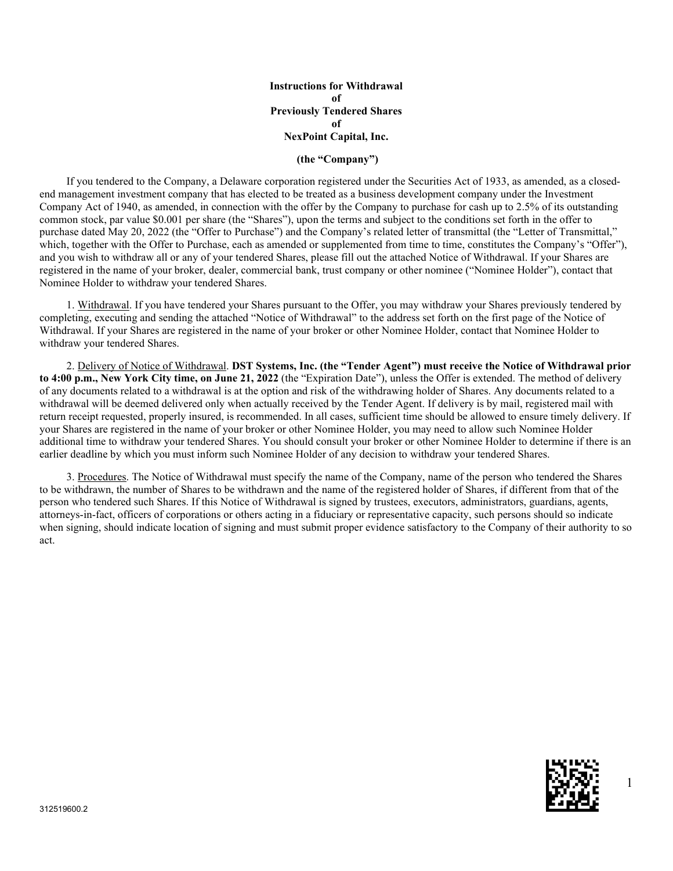#### **Instructions for Withdrawal of Previously Tendered Shares of NexPoint Capital, Inc.**

#### **(the "Company")**

If you tendered to the Company, a Delaware corporation registered under the Securities Act of 1933, as amended, as a closedend management investment company that has elected to be treated as a business development company under the Investment Company Act of 1940, as amended, in connection with the offer by the Company to purchase for cash up to 2.5% of its outstanding common stock, par value \$0.001 per share (the "Shares"), upon the terms and subject to the conditions set forth in the offer to purchase dated May 20, 2022 (the "Offer to Purchase") and the Company's related letter of transmittal (the "Letter of Transmittal," which, together with the Offer to Purchase, each as amended or supplemented from time to time, constitutes the Company's "Offer"), and you wish to withdraw all or any of your tendered Shares, please fill out the attached Notice of Withdrawal. If your Shares are registered in the name of your broker, dealer, commercial bank, trust company or other nominee ("Nominee Holder"), contact that Nominee Holder to withdraw your tendered Shares.

1. Withdrawal. If you have tendered your Shares pursuant to the Offer, you may withdraw your Shares previously tendered by completing, executing and sending the attached "Notice of Withdrawal" to the address set forth on the first page of the Notice of Withdrawal. If your Shares are registered in the name of your broker or other Nominee Holder, contact that Nominee Holder to withdraw your tendered Shares.

2. Delivery of Notice of Withdrawal. **DST Systems, Inc. (the "Tender Agent") must receive the Notice of Withdrawal prior to 4:00 p.m., New York City time, on June 21, 2022** (the "Expiration Date"), unless the Offer is extended. The method of delivery of any documents related to a withdrawal is at the option and risk of the withdrawing holder of Shares. Any documents related to a withdrawal will be deemed delivered only when actually received by the Tender Agent. If delivery is by mail, registered mail with return receipt requested, properly insured, is recommended. In all cases, sufficient time should be allowed to ensure timely delivery. If your Shares are registered in the name of your broker or other Nominee Holder, you may need to allow such Nominee Holder additional time to withdraw your tendered Shares. You should consult your broker or other Nominee Holder to determine if there is an earlier deadline by which you must inform such Nominee Holder of any decision to withdraw your tendered Shares.

3. Procedures. The Notice of Withdrawal must specify the name of the Company, name of the person who tendered the Shares to be withdrawn, the number of Shares to be withdrawn and the name of the registered holder of Shares, if different from that of the person who tendered such Shares. If this Notice of Withdrawal is signed by trustees, executors, administrators, guardians, agents, attorneys-in-fact, officers of corporations or others acting in a fiduciary or representative capacity, such persons should so indicate when signing, should indicate location of signing and must submit proper evidence satisfactory to the Company of their authority to so act.



1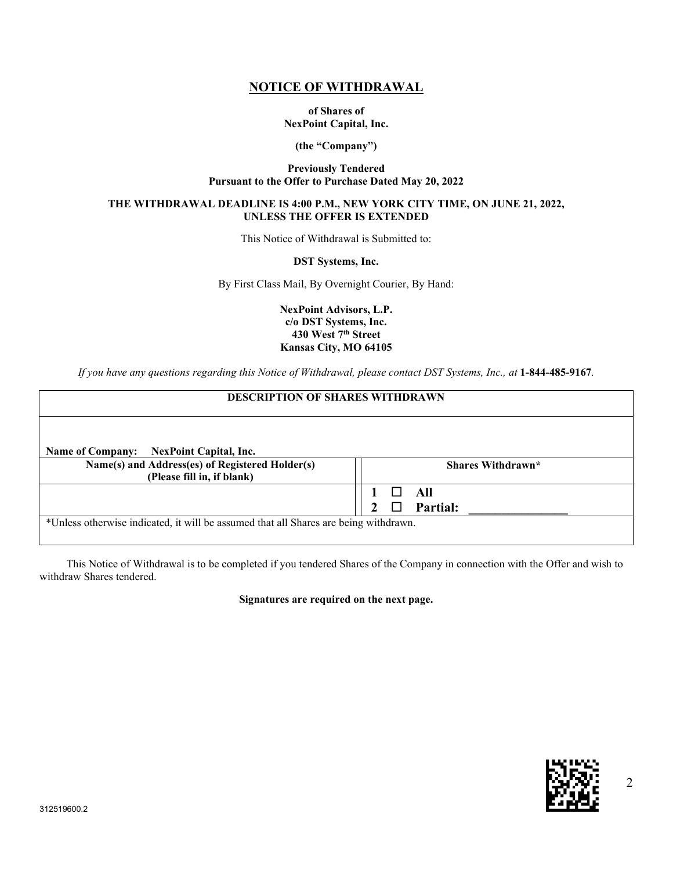### **NOTICE OF WITHDRAWAL**

**of Shares of NexPoint Capital, Inc.**

#### **(the "Company")**

#### **Previously Tendered Pursuant to the Offer to Purchase Dated May 20, 2022**

#### **THE WITHDRAWAL DEADLINE IS 4:00 P.M., NEW YORK CITY TIME, ON JUNE 21, 2022, UNLESS THE OFFER IS EXTENDED**

This Notice of Withdrawal is Submitted to:

#### **DST Systems, Inc.**

By First Class Mail, By Overnight Courier, By Hand:

**NexPoint Advisors, L.P. c/o DST Systems, Inc. 430 West 7th Street Kansas City, MO 64105**

*If you have any questions regarding this Notice of Withdrawal, please contact DST Systems, Inc., at* **1-844-485-9167***.* 

### **DESCRIPTION OF SHARES WITHDRAWN**

| Name of Company: NexPoint Capital, Inc.                                              |                   |
|--------------------------------------------------------------------------------------|-------------------|
| Name(s) and Address(es) of Registered Holder(s)<br>(Please fill in, if blank)        | Shares Withdrawn* |
|                                                                                      | $\Box$ All        |
|                                                                                      | <b>Partial:</b>   |
| *Unless otherwise indicated, it will be assumed that all Shares are being withdrawn. |                   |

This Notice of Withdrawal is to be completed if you tendered Shares of the Company in connection with the Offer and wish to withdraw Shares tendered.

#### **Signatures are required on the next page.**

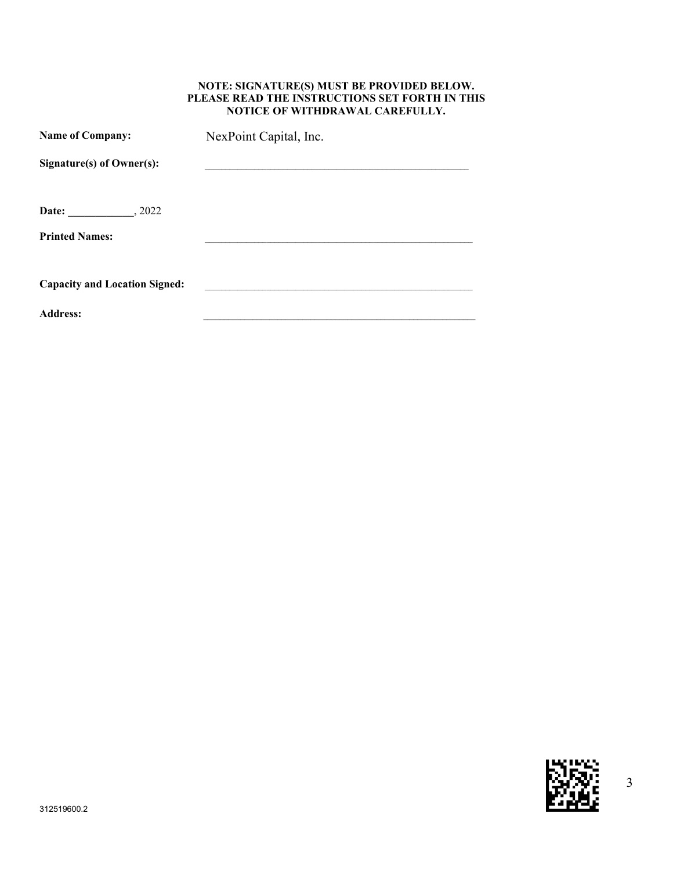#### **NOTE: SIGNATURE(S) MUST BE PROVIDED BELOW. PLEASE READ THE INSTRUCTIONS SET FORTH IN THIS NOTICE OF WITHDRAWAL CAREFULLY.**

| <b>Name of Company:</b>              | NexPoint Capital, Inc. |
|--------------------------------------|------------------------|
| Signature(s) of Owner(s):            |                        |
| <b>Date:</b> , 2022                  |                        |
| <b>Printed Names:</b>                |                        |
| <b>Capacity and Location Signed:</b> |                        |
| <b>Address:</b>                      |                        |

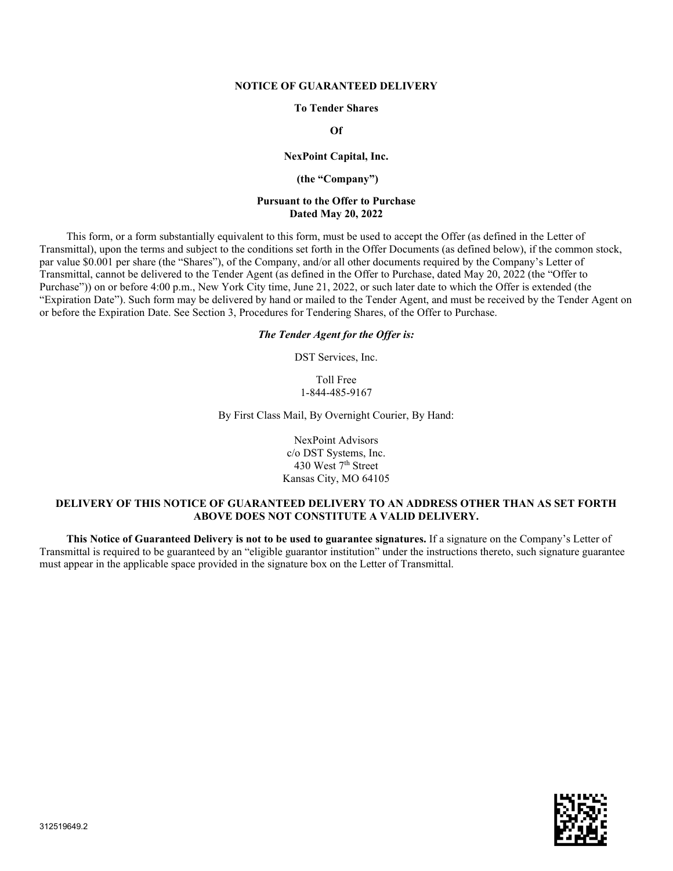#### **NOTICE OF GUARANTEED DELIVERY**

#### **To Tender Shares**

#### **Of**

#### **NexPoint Capital, Inc.**

#### **(the "Company")**

#### **Pursuant to the Offer to Purchase Dated May 20, 2022**

This form, or a form substantially equivalent to this form, must be used to accept the Offer (as defined in the Letter of Transmittal), upon the terms and subject to the conditions set forth in the Offer Documents (as defined below), if the common stock, par value \$0.001 per share (the "Shares"), of the Company, and/or all other documents required by the Company's Letter of Transmittal, cannot be delivered to the Tender Agent (as defined in the Offer to Purchase, dated May 20, 2022 (the "Offer to Purchase")) on or before 4:00 p.m., New York City time, June 21, 2022, or such later date to which the Offer is extended (the "Expiration Date"). Such form may be delivered by hand or mailed to the Tender Agent, and must be received by the Tender Agent on or before the Expiration Date. See Section 3, Procedures for Tendering Shares, of the Offer to Purchase.

#### *The Tender Agent for the Offer is:*

DST Services, Inc.

#### Toll Free 1-844-485-9167

By First Class Mail, By Overnight Courier, By Hand:

NexPoint Advisors c/o DST Systems, Inc. 430 West 7<sup>th</sup> Street Kansas City, MO 64105

#### **DELIVERY OF THIS NOTICE OF GUARANTEED DELIVERY TO AN ADDRESS OTHER THAN AS SET FORTH ABOVE DOES NOT CONSTITUTE A VALID DELIVERY.**

**This Notice of Guaranteed Delivery is not to be used to guarantee signatures.** If a signature on the Company's Letter of Transmittal is required to be guaranteed by an "eligible guarantor institution" under the instructions thereto, such signature guarantee must appear in the applicable space provided in the signature box on the Letter of Transmittal.

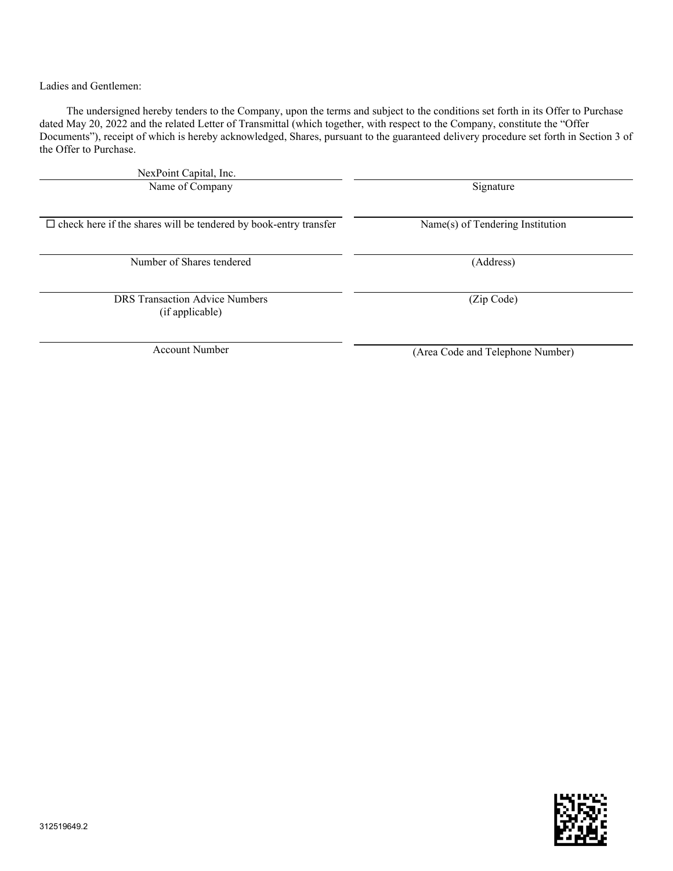312519649.2

Ladies and Gentlemen:

The undersigned hereby tenders to the Company, upon the terms and subject to the conditions set forth in its Offer to Purchase dated May 20, 2022 and the related Letter of Transmittal (which together, with respect to the Company, constitute the "Offer Documents"), receipt of which is hereby acknowledged, Shares, pursuant to the guaranteed delivery procedure set forth in Section 3 of the Offer to Purchase.

| NexPoint Capital, Inc.                                                     |                                  |
|----------------------------------------------------------------------------|----------------------------------|
| Name of Company                                                            | Signature                        |
|                                                                            |                                  |
| $\square$ check here if the shares will be tendered by book-entry transfer | Name(s) of Tendering Institution |
|                                                                            |                                  |
| Number of Shares tendered                                                  | (Address)                        |
|                                                                            |                                  |
| <b>DRS Transaction Advice Numbers</b>                                      | (Zip Code)                       |
| (if applicable)                                                            |                                  |
|                                                                            |                                  |

Account Number

(Area Code and Telephone Number)